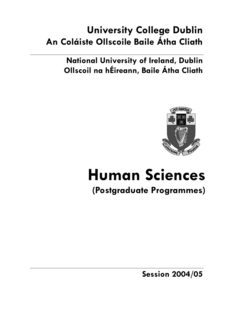# **University College Dublin An Coláiste Ollscoile Baile Átha Cliath**

**National University of Ireland, Dublin Ollscoil na hÉireann, Baile Átha Cliath** 



# **Human Sciences**

## **(Postgraduate Programmes)**

**Session 2004/05**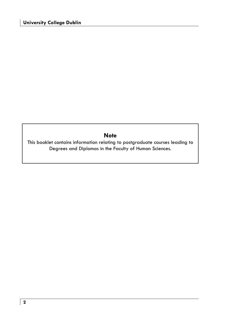### **Note**

This booklet contains information relating to postgraduate courses leading to Degrees and Diplomas in the Faculty of Human Sciences.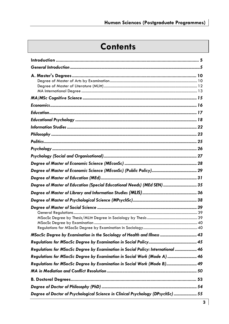# **Contents**

| Degree of Master of Education (Special Educational Needs) (MEd SEN)  35          |
|----------------------------------------------------------------------------------|
|                                                                                  |
|                                                                                  |
|                                                                                  |
|                                                                                  |
|                                                                                  |
| Regulations for MSocSc Degree by Examination in Social Policy: International  46 |
| Regulations for MSocSc Degree by Examination in Social Work (Mode A)  46         |
| Requlations for MSocSc Degree by Examination in Social Work (Mode B) 49          |
|                                                                                  |
|                                                                                  |
|                                                                                  |
| Degree of Doctor of Psychological Science in Clinical Psychology (DPsychSc) 55   |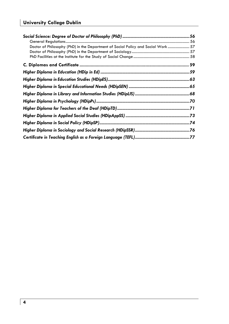| Doctor of Philosophy (PhD) in the Department of Social Policy and Social Work  57 |  |
|-----------------------------------------------------------------------------------|--|
|                                                                                   |  |
|                                                                                   |  |
|                                                                                   |  |
|                                                                                   |  |
|                                                                                   |  |
|                                                                                   |  |
|                                                                                   |  |
|                                                                                   |  |
|                                                                                   |  |
|                                                                                   |  |
|                                                                                   |  |
|                                                                                   |  |
|                                                                                   |  |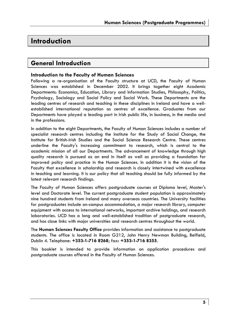### **Introduction**

### **General Introduction**

#### **Introduction to the Faculty of Human Sciences**

Following a re-organisation of the Faculty structure at UCD, the Faculty of Human Sciences was established in December 2002. It brings together eight Academic Departments: Economics, Education, Library and Information Studies, Philosophy, Politics, Psychology, Sociology and Social Policy and Social Work. These Departments are the leading centres of research and teaching in these disciplines in Ireland and have a wellestablished international reputation as centres of excellence. Graduates from our Departments have played a leading part in Irish public life, in business, in the media and in the professions.

In addition to the eight Departments, the Faculty of Human Sciences includes a number of specialist research centres including the Institute for the Study of Social Change, the Institute for British-Irish Studies and the Social Science Research Centre. These centres underline the Faculty's increasing commitment to research, which is central to the academic mission of all our Departments. The advancement of knowledge through high quality research is pursued as an end in itself as well as providing a foundation for improved policy and practice in the Human Sciences. In addition it is the vision of the Faculty that excellence in scholarship and research is closely intertwined with excellence in teaching and learning. It is our policy that all teaching should be fully informed by the latest relevant research findings.

The Faculty of Human Sciences offers postgraduate courses at Diploma level, Master's level and Doctorate level. The current postgraduate student population is approximately nine hundred students from Ireland and many overseas countries. The University facilities for postgraduates include on-campus accommodation, a major research library, computer equipment with access to international networks, important archive holdings, and research laboratories. UCD has a long and well-established tradition of postgraduate research, and has close links with major universities and research centres throughout the world.

The **Human Sciences Faculty Office** provides information and assistance to postgraduate students. The office is located in Room G212, John Henry Newman Building, Belfield, Dublin 4. Telephone: **+353-1-716 8268**; fax**: +353-1-716 8355**.

This booklet is intended to provide information on application procedures and postgraduate courses offered in the Faculty of Human Sciences.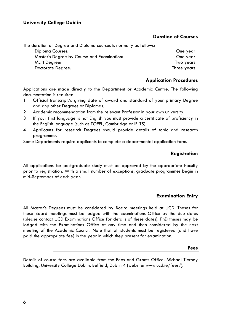### **Duration of Courses**

The duration of Degree and Diploma courses is normally as follows: Diploma Courses: One year Master's Degree by Course and Examination: One year MLitt Degree: Two years Doctorate Degree: Three years

### **Application Procedures**

Applications are made directly to the Department or Academic Centre. The following documentation is required:

- 1 Official transcript/s giving date of award and standard of your primary Degree and any other Degrees or Diplomas.
- 2 Academic recommendation from the relevant Professor in your own university.
- 3 If your first language is not English you must provide a certificate of proficiency in the English language (such as TOEFL, Cambridge or IELTS).
- 4 Applicants for research Degrees should provide details of topic and research programme.

Some Departments require applicants to complete a departmental application form.

#### **Registration**

All applications for postgraduate study must be approved by the appropriate Faculty prior to registration. With a small number of exceptions, graduate programmes begin in mid-September of each year.

### **Examination Entry**

All Master's Degrees must be considered by Board meetings held at UCD. Theses for these Board meetings must be lodged with the Examinations Office by the due dates (please contact UCD Examinations Office for details of these dates). PhD theses may be lodged with the Examinations Office at any time and then considered by the next meeting of the Academic Council. Note that all students must be registered (and have paid the appropriate fee) in the year in which they present for examination.

#### **Fees**

Details of course fees are available from the Fees and Grants Office, Michael Tierney Building, University College Dublin, Belfield, Dublin 4 (website: www.ucd.ie/fees/).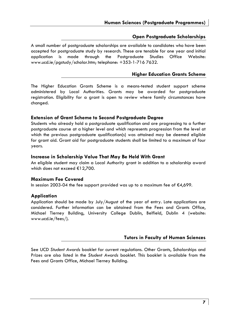### **Open Postgraduate Scholarships**

A small number of postgraduate scholarships are available to candidates who have been accepted for postgraduate study by research. These are tenable for one year and initial application is made through the Postgraduate Studies Office Website: www.ucd.ie/pgstudy/scholar.htm; telephone: +353-1-716 7632.

### **Higher Education Grants Scheme**

The Higher Education Grants Scheme is a means-tested student support scheme administered by Local Authorities. Grants may be awarded for postgraduate registration. Eligibility for a grant is open to review where family circumstances have changed.

#### **Extension of Grant Scheme to Second Postgraduate Degree**

Students who already hold a postgraduate qualification and are progressing to a further postgraduate course at a higher level and which represents progression from the level at which the previous postgraduate qualification(s) was attained may be deemed eligible for grant aid. Grant aid for postgraduate students shall be limited to a maximum of four years.

#### **Increase in Scholarship Value That May Be Held With Grant**

An eligible student may claim a Local Authority grant in addition to a scholarship award which does not exceed €12,700.

#### **Maximum Fee Covered**

In session 2003-04 the fee support provided was up to a maximum fee of  $\epsilon$ 4,699.

#### **Application**

Application should be made by July/August of the year of entry. Late applications are considered. Further information can be obtained from the Fees and Grants Office, Michael Tierney Building, University College Dublin, Belfield, Dublin 4 (website: www.ucd.ie/fees/).

### **Tutors in Faculty of Human Sciences**

See UCD *Student Awards* booklet for current regulations. Other Grants, Scholarships and Prizes are also listed in the *Student Awards* booklet. This booklet is available from the Fees and Grants Office, Michael Tierney Building.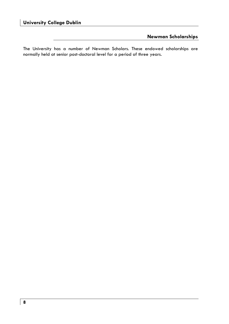### **Newman Scholarships**

The University has a number of Newman Scholars. These endowed scholarships are normally held at senior post-doctoral level for a period of three years.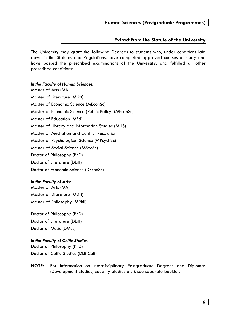#### **Extract from the Statute of the University**

The University may grant the following Degrees to students who, under conditions laid down in the Statutes and Regulations, have completed approved courses of study and have passed the prescribed examinations of the University, and fulfilled all other prescribed conditions:

#### *In the Faculty of Human Sciences:*

Master of Arts (MA) Master of Literature (MLitt) Master of Economic Science (MEconSc) Master of Economic Science (Public Policy) (MEconSc) Master of Education (MEd) Master of Library and Information Studies (MLIS) Master of Mediation and Conflict Resolution Master of Psychological Science (MPsychSc) Master of Social Science (MSocSc) Doctor of Philosophy (PhD) Doctor of Literature (DLitt) Doctor of Economic Science (DEconSc)

#### *In the Faculty of Arts:*

Master of Arts (MA) Master of Literature (MLitt) Master of Philosophy (MPhil)

Doctor of Philosophy (PhD) Doctor of Literature (DLitt) Doctor of Music (DMus)

#### *In the Faculty of Celtic Studies:*

Doctor of Philosophy (PhD) Doctor of Celtic Studies (DLittCelt)

**NOTE:** For information on Interdisciplinary Postgraduate Degrees and Diplomas (Development Studies, Equality Studies etc.), see separate booklet.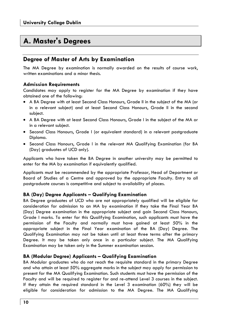### **A. Master's Degrees**

### **Degree of Master of Arts by Examination**

The MA Degree by examination is normally awarded on the results of course work, written examinations and a minor thesis.

### **Admission Requirements**

Candidates may apply to register for the MA Degree by examination if they have obtained one of the following:

- A BA Degree with at least Second Class Honours, Grade II in the subject of the MA (or in a relevant subject) and at least Second Class Honours, Grade II in the second subject.
- A BA Degree with at least Second Class Honours, Grade I in the subject of the MA or in a relevant subject.
- Second Class Honours, Grade I (or equivalent standard) in a relevant postgraduate Diploma.
- Second Class Honours, Grade I in the relevant MA Qualifying Examination (for BA (Day) graduates of UCD only).

Applicants who have taken the BA Degree in another university may be permitted to enter for the MA by examination if equivalently qualified.

Applicants must be recommended by the appropriate Professor, Head of Department or Board of Studies of a Centre and approved by the appropriate Faculty. Entry to all postgraduate courses is competitive and subject to availability of places.

### **BA (Day) Degree Applicants – Qualifying Examination**

BA Degree graduates of UCD who are not appropriately qualified will be eligible for consideration for admission to an MA by examination if they take the Final Year BA (Day) Degree examination in the appropriate subject and gain Second Class Honours, Grade I marks. To enter for this Qualifying Examination, such applicants must have the permission of the Faculty and normally must have gained at least 50% in the appropriate subject in the Final Year examination of the BA (Day) Degree. The Qualifying Examination may not be taken until at least three terms after the primary Degree. It may be taken only once in a particular subject. The MA Qualifying Examination may be taken only in the Summer examination session.

### **BA (Modular Degree) Applicants – Qualifying Examination**

BA Modular graduates who do not reach the requisite standard in the primary Degree and who attain at least 50% aggregate marks in the subject may apply for permission to present for the MA Qualifying Examination. Such students must have the permission of the Faculty and will be required to register for and re-attend Level 3 courses in the subject. If they attain the required standard in the Level 3 examination (60%) they will be eligible for consideration for admission to the MA Degree. The MA Qualifying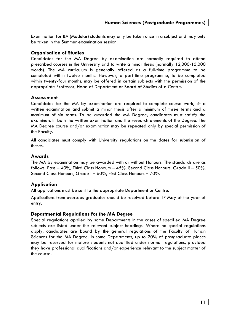Examination for BA (Modular) students may only be taken once in a subject and may only be taken in the Summer examination session.

### **Organisation of Studies**

Candidates for the MA Degree by examination are normally required to attend prescribed courses in the University and to write a minor thesis (normally 12,000-15,000 words). The MA curriculum is generally offered as a full-time programme to be completed within twelve months. However, a part-time programme, to be completed within twenty-four months, may be offered in certain subjects with the permission of the appropriate Professor, Head of Department or Board of Studies of a Centre.

### **Assessment**

Candidates for the MA by examination are required to complete course work, sit a written examination and submit a minor thesis after a minimum of three terms and a maximum of six terms. To be awarded the MA Degree, candidates must satisfy the examiners in both the written examination and the research elements of the Degree. The MA Degree course and/or examination may be repeated only by special permission of the Faculty.

All candidates must comply with University regulations on the dates for submission of theses.

### **Awards**

The MA by examination may be awarded with or without Honours. The standards are as follows: Pass – 40%, Third Class Honours – 45%, Second Class Honours, Grade II – 50%, Second Class Honours, Grade I – 60%, First Class Honours – 70%.

### **Application**

All applications must be sent to the appropriate Department or Centre.

Applications from overseas graduates should be received before 1st May of the year of entry.

### **Departmental Regulations for the MA Degree**

Special regulations applied by some Departments in the cases of specified MA Degree subjects are listed under the relevant subject headings. Where no special regulations apply, candidates are bound by the general regulations of the Faculty of Human Sciences for the MA Degree. In some Departments, up to 20% of postgraduate places may be reserved for mature students not qualified under normal regulations, provided they have professional qualifications and/or experience relevant to the subject matter of the course.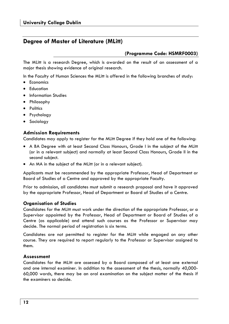### **Degree of Master of Literature (MLitt)**

### **(Programme Code: HSMRF0003)**

The MLitt is a research Degree, which is awarded on the result of an assessment of a major thesis showing evidence of original research.

In the Faculty of Human Sciences the MLitt is offered in the following branches of study:

- Economics
- Education
- Information Studies
- Philosophy
- Politics
- Psychology
- Sociology

### **Admission Requirements**

Candidates may apply to register for the MLitt Degree if they hold one of the following:

- A BA Degree with at least Second Class Honours, Grade I in the subject of the MLitt (or in a relevant subject) and normally at least Second Class Honours, Grade II in the second subject.
- An MA in the subject of the MLitt (or in a relevant subject).

Applicants must be recommended by the appropriate Professor, Head of Department or Board of Studies of a Centre and approved by the appropriate Faculty.

Prior to admission, all candidates must submit a research proposal and have it approved by the appropriate Professor, Head of Department or Board of Studies of a Centre.

#### **Organisation of Studies**

Candidates for the MLitt must work under the direction of the appropriate Professor, or a Supervisor appointed by the Professor, Head of Department or Board of Studies of a Centre (as applicable) and attend such courses as the Professor or Supervisor may decide. The normal period of registration is six terms.

Candidates are not permitted to register for the MLitt while engaged on any other course. They are required to report regularly to the Professor or Supervisor assigned to them.

#### **Assessment**

Candidates for the MLitt are assessed by a Board composed of at least one external and one internal examiner. In addition to the assessment of the thesis, normally 40,000- 60,000 words, there may be an oral examination on the subject matter of the thesis if the examiners so decide.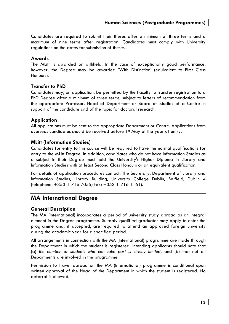Candidates are required to submit their theses after a minimum of three terms and a maximum of nine terms after registration. Candidates must comply with University regulations on the dates for submission of theses.

### **Awards**

The MLitt is awarded or withheld. In the case of exceptionally good performance, however, the Degree may be awarded 'With Distinction' (equivalent to First Class Honours).

#### **Transfer to PhD**

Candidates may, on application, be permitted by the Faculty to transfer registration to a PhD Degree after a minimum of three terms, subject to letters of recommendation from the appropriate Professor, Head of Department or Board of Studies of a Centre in support of the candidate and of the topic for doctoral research.

### **Application**

All applications must be sent to the appropriate Department or Centre. Applications from overseas candidates should be received before 1st May of the year of entry.

#### **MLitt (Information Studies)**

Candidates for entry to this course will be required to have the normal qualifications for entry to the MLitt Degree. In addition, candidates who do not have Information Studies as a subject in their Degree must hold the University's Higher Diploma in Library and Information Studies with at least Second Class Honours or an equivalent qualification.

For details of application procedures contact: The Secretary, Department of Library and Information Studies, Library Building, University College Dublin, Belfield, Dublin 4 (telephone: +353-1-716 7055; fax: +353-1-716 1161).

### **MA International Degree**

### **General Description**

The MA (International) incorporates a period of university study abroad as an integral element in the Degree programme. Suitably qualified graduates may apply to enter the programme and, if accepted, are required to attend an approved foreign university during the academic year for a specified period.

All arrangements in connection with the MA (International) programme are made through the Department in which the student is registered. Intending applicants should note that (a) *the number of students who can take part is strictly limited,* and (b) that not all Departments are involved in the programme.

Permission to travel abroad on the MA (International) programme is conditional upon written approval of the Head of the Department in which the student is registered. No deferral is allowed.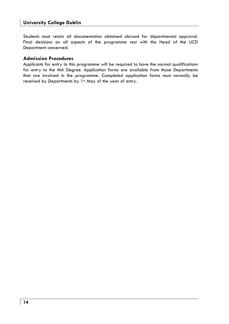Students must retain all documentation obtained abroad for departmental approval. Final decisions on all aspects of the programme rest with the Head of the UCD Department concerned.

### **Admission Procedures**

Applicants for entry to this programme will be required to have the normal qualifications for entry to the MA Degree. Application forms are available from those Departments that are involved in the programme. Completed application forms must normally be received by Departments by 1st May of the year of entry.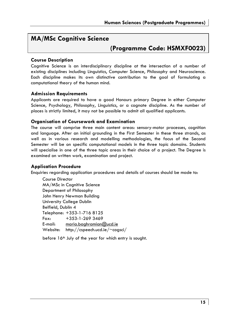### **MA/MSc Cognitive Science**

### **(Programme Code: HSMXF0023)**

### **Course Description**

Cognitive Science is an interdisciplinary discipline at the intersection of a number of existing disciplines including Linguistics, Computer Science, Philosophy and Neuroscience. Each discipline makes its own distinctive contribution to the goal of formulating a computational theory of the human mind.

### **Admission Requirements**

Applicants are required to have a good Honours primary Degree in either Computer Science, Psychology, Philosophy, Linguistics, or a cognate discipline. As the number of places is strictly limited, it may not be possible to admit all qualified applicants.

### **Organisation of Coursework and Examination**

The course will comprise three main content areas: sensory-motor processes, cognition and language. After an initial grounding in the First Semester in these three strands, as well as in various research and modelling methodologies, the focus of the Second Semester will be on specific computational models in the three topic domains. Students will specialise in one of the three topic areas in their choice of a project. The Degree is examined on written work, examination and project.

### **Application Procedure**

Enquiries regarding application procedures and details of courses should be made to:

Course Director MA/MSc in Cognitive Science Department of Philosophy John Henry Newman Building University College Dublin Belfield, Dublin 4 Telephone: +353-1-716 8125 Fax: +353-1-269 3469 E-mail: maria.baghramian@ucd.ie Website: http://cspeech.ucd.ie/~cogsci/

before 16th July of the year for which entry is sought.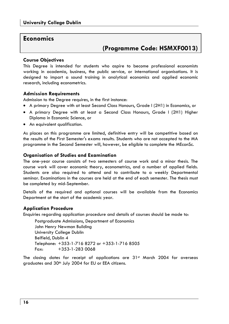### **Economics**

### **(Programme Code: HSMXF0013)**

#### **Course Objectives**

This Degree is intended for students who aspire to become professional economists working in academia, business, the public service, or international organisations. It is designed to impart a sound training in analytical economics and applied economic research, including econometrics.

#### **Admission Requirements**

Admission to the Degree requires, in the first instance:

- A primary Degree with at least Second Class Honours, Grade I (2H1) in Economics, or
- A primary Degree with at least a Second Class Honours, Grade I (2H1) Higher Diploma in Economic Science, or
- An equivalent qualification.

As places on this programme are limited, definitive entry will be competitive based on the results of the First Semester's exams results. Students who are not accepted to the MA programme in the Second Semester will, however, be eligible to complete the MEconSc.

#### **Organisation of Studies and Examination**

The one-year course consists of two semesters of course work and a minor thesis. The course work will cover economic theory, econometrics, and a number of applied fields. Students are also required to attend and to contribute to a weekly Departmental seminar. Examinations in the courses are held at the end of each semester. The thesis must be completed by mid-September.

Details of the required and optional courses will be available from the Economics Department at the start of the academic year.

### **Application Procedure**

Enquiries regarding application procedure and details of courses should be made to:

Postgraduate Admissions, Department of Economics John Henry Newman Building University College Dublin Belfield, Dublin 4 Telephone: +353-1-716 8272 or +353-1-716 8505  $Fax: +353-1-2830068$ 

The closing dates for receipt of applications are  $31<sup>st</sup>$  March 2004 for overseas graduates and 30<sup>th</sup> July 2004 for EU or EEA citizens.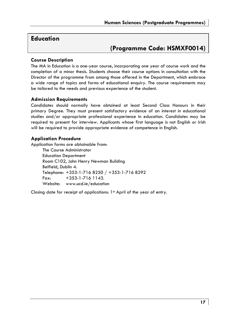### **Education**

### **(Programme Code: HSMXF0014)**

### **Course Description**

The MA in Education is a one-year course, incorporating one year of course work and the completion of a minor thesis. Students choose their course options in consultation with the Director of the programme from among those offered in the Department, which embrace a wide range of topics and forms of educational enquiry. The course requirements may be tailored to the needs and previous experience of the student.

### **Admission Requirements**

Candidates should normally have obtained at least Second Class Honours in their primary Degree. They must present satisfactory evidence of an interest in educational studies and/or appropriate professional experience in education. Candidates may be required to present for interview. Applicants whose first language is not English or Irish will be required to provide appropriate evidence of competence in English.

### **Application Procedure**

Application forms are obtainable from: The Course Administrator Education Department Room C102, John Henry Newman Building Belfield, Dublin 4. Telephone: +353-1-716 8250 / +353-1-716 8292 Fax: +353-1-716 1143. Website: www.ucd.ie/education

Closing date for receipt of applications: 1<sup>st</sup> April of the year of entry.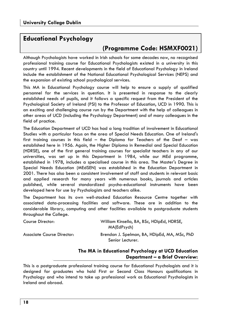### **Educational Psychology**

### **(Programme Code: HSMXF0021)**

Although Psychologists have worked in Irish schools for some decades now, no recognised professional training course for Educational Psychologists existed in a university in this country until 1994. Recent developments in the field of Educational Psychology in Ireland include the establishment of the National Educational Psychological Services (NEPS) and the expansion of existing school psychological services.

This MA in Educational Psychology course will help to ensure a supply of qualified personnel for the services in question. It is presented in response to the clearly established needs of pupils, and it follows a specific request from the President of the Psychological Society of Ireland (PSI) to the Professor of Education, UCD in 1990. This is an exciting and challenging course run by the Department with the help of colleagues in other areas of UCD (including the Psychology Department) and of many colleagues in the field of practice.

The Education Department of UCD has had a long tradition of involvement in Educational Studies with a particular focus on the area of Special Needs Education. One of Ireland's first training courses in this field – the Diploma for Teachers of the Deaf – was established here in 1956. Again, the Higher Diploma in Remedial and Special Education (HDRSE), one of the first general training courses for specialist teachers in any of our universities, was set up in this Department in 1984, while our MEd programme, established in 1978, includes a specialised course in this area. The Master's Degree in Special Needs Education (MEdSEN) was established in the Education Department in 2001. There has also been a consistent involvement of staff and students in relevant basic and applied research for many years with numerous books, journals and articles published, while several standardized psycho-educational instruments have been developed here for use by Psychologists and teachers alike.

The Department has its own well-stocked Education Resource Centre together with associated data-processing facilities and software. These are in addition to the considerable library, computing and other facilities available to postgraduate students throughout the College.

| Course Director:           | William Kinsella, BA, BSc, HDipEd, HDRSE,<br>MA(EdPsych)         |
|----------------------------|------------------------------------------------------------------|
| Associate Course Director: | Brendan J. Spelman, BA, HDipEd, MA, MSc, PhD<br>Senior Lecturer. |

### **The MA in Educational Psychology at UCD Education Department – a Brief Overview:**

This is a postgraduate professional training course for Educational Psychologists and it is designed for graduates who hold First or Second Class Honours qualifications in Psychology and who intend to take up professional work as Educational Psychologists in Ireland and abroad.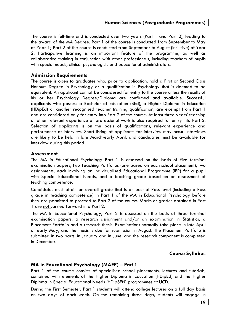The course is full-time and is conducted over two years (Part 1 and Part 2), leading to the award of the MA Degree. Part 1 of the course is conducted from September to May of Year 1; Part 2 of the course is conducted from September to August (inclusive) of Year 2. Participative learning is an important feature of the programme, as well as collaborative training in conjunction with other professionals, including teachers of pupils with special needs, clinical psychologists and educational administrators.

#### **Admission Requirements**

The course is open to graduates who, prior to application, hold a First or Second Class Honours Degree in Psychology or a qualification in Psychology that is deemed to be equivalent. An applicant cannot be considered for entry to the course unless the results of his or her Psychology Degree/Diploma are confirmed and available. Successful applicants who possess a Bachelor of Education (BEd), a Higher Diploma in Education (HDipEd) or another recognised teacher training qualification, are exempt from Part 1 and are considered only for entry into Part 2 of the course. At least three years' teaching or other relevant experience of professional work is also required for entry into Part 2. Selection of applicants is on the basis of qualifications, relevant experience and performance at interview. Short-listing of applicants for interview may occur. Interviews are likely to be held in late March-early April, and candidates must be available for interview during this period.

#### **Assessment**

The MA in Educational Psychology Part 1 is assessed on the basis of five terminal examination papers, two Teaching Portfolios (one based on each school placement), two assignments, each involving an Individualised Educational Programme (IEP) for a pupil with Special Educational Needs, and a teaching grade based on an assessment of teaching competence.

Candidates must attain an overall grade that is at least at Pass level (including a Pass grade in teaching competence) in Part 1 of the MA in Educational Psychology before they are permitted to proceed to Part 2 of the course. Marks or grades obtained in Part 1 are not carried forward into Part 2.

The MA in Educational Psychology, Part 2 is assessed on the basis of three terminal examination papers, a research assignment and/or an examination in Statistics, a Placement Portfolio and a research thesis. Examinations normally take place in late April or early May, and the thesis is due for submission in August. The Placement Portfolio is submitted in two parts, in January and in June, and the research component is completed in December.

### **Course Syllabus**

#### **MA in Educational Psychology (MAEP) – Part 1**

Part 1 of the course consists of specialised school placements, lectures and tutorials, combined with elements of the Higher Diploma in Education (HDipEd) and the Higher Diploma in Special Educational Needs (HDipSEN) programmes at UCD.

During the First Semester, Part 1 students will attend college lectures on a full day basis on two days of each week. On the remaining three days, students will engage in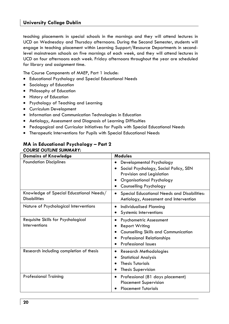teaching placements in special schools in the mornings and they will attend lectures in UCD on Wednesday and Thursday afternoons. During the Second Semester, students will engage in teaching placement within Learning Support/Resource Departments in secondlevel mainstream schools on five mornings of each week, and they will attend lectures in UCD on four afternoons each week. Friday afternoons throughout the year are scheduled for library and assignment time.

The Course Components of MAEP, Part 1 include:

- Educational Psychology and Special Educational Needs
- Sociology of Education
- Philosophy of Education
- History of Education
- Psychology of Teaching and Learning
- Curriculum Development
- Information and Communication Technologies in Education
- Aetiology, Assessment and Diagnosis of Learning Difficulties
- Pedagogical and Curricular Initiatives for Pupils with Special Educational Needs
- Therapeutic Interventions for Pupils with Special Educational Needs

### **MA in Educational Psychology – Part 2**

|  |  | <b>COURSE OUTLINE SUMMARY:</b> |
|--|--|--------------------------------|
|--|--|--------------------------------|

| <b>Domains of Knowledge</b>                                    | <b>Modules</b>                                                                                                                                                          |  |  |
|----------------------------------------------------------------|-------------------------------------------------------------------------------------------------------------------------------------------------------------------------|--|--|
| <b>Foundation Disciplines</b>                                  | Developmental Psychology<br>Social Psychology, Social Policy, SEN<br>Provision and Legislation<br>Organisational Psychology<br>Counselling Psychology                   |  |  |
| Knowledge of Special Educational Needs/<br><b>Disabilities</b> | Special Educational Needs and Disabilities:<br>٠<br>Aetiology, Assessment and Intervention                                                                              |  |  |
| Nature of Psychological Interventions                          | <b>Individualised Planning</b><br>٠<br><b>Systemic Interventions</b>                                                                                                    |  |  |
| Requisite Skills for Psychological<br>Interventions            | Psychometric Assessment<br>٠<br><b>Report Writing</b><br><b>Counselling Skills and Communication</b><br><b>Professional Relationships</b><br><b>Professional Issues</b> |  |  |
| Research including completion of thesis                        | Research Methodologies<br>٠<br><b>Statistical Analysis</b><br><b>Thesis Tutorials</b><br><b>Thesis Supervision</b>                                                      |  |  |
| <b>Professional Training</b>                                   | Professional (81 days placement)<br>٠<br><b>Placement Supervision</b><br><b>Placement Tutorials</b>                                                                     |  |  |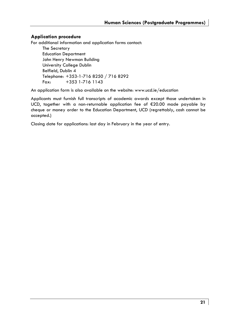### **Application procedure**

For additional information and application forms contact:

The Secretary Education Department John Henry Newman Building University College Dublin Belfield, Dublin 4 Telephone: +353-1-716 8250 / 716 8292 Fax: +353 1-716 1143

An application form is also available on the website: www.ucd.ie/education

Applicants must furnish full transcripts of academic awards except those undertaken in UCD, together with a non-returnable application fee of €20.00 made payable by cheque or money order to the Education Department, UCD (regrettably, cash cannot be accepted.)

Closing date for applications: last day in February in the year of entry.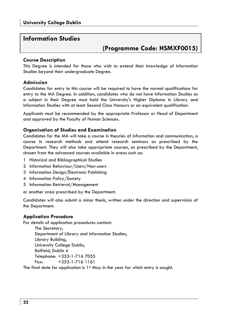### **Information Studies**

### **(Programme Code: HSMXF0015)**

### **Course Description**

This Degree is intended for those who wish to extend their knowledge of Information Studies beyond their undergraduate Degree.

### **Admission**

Candidates for entry to this course will be required to have the normal qualifications for entry to the MA Degree. In addition, candidates who do not have Information Studies as a subject in their Degree must hold the University's Higher Diploma in Library and Information Studies with at least Second Class Honours or an equivalent qualification.

Applicants must be recommended by the appropriate Professor or Head of Department and approved by the Faculty of Human Sciences.

### **Organisation of Studies and Examination**

Candidates for the MA will take a course in theories of information and communication, a course in research methods and attend research seminars as prescribed by the Department. They will also take appropriate courses, as prescribed by the Department, chosen from the advanced courses available in areas such as:

- 1 Historical and Bibliographical Studies
- 2 Information Behaviour/Users/Non-users
- 3 Information Design/Electronic Publishing
- 4 Information Policy/Society
- 5 Information Retrieval/Management

or another area prescribed by the Department.

Candidates will also submit a minor thesis, written under the direction and supervision of the Department.

### **Application Procedure**

For details of application procedures contact:

The Secretary, Department of Library and Information Studies, Library Building, University College Dublin, Belfield, Dublin 4 Telephone: +353-1-716 7055 Fax: +353-1-716 1161

The final date for application is 1<sup>st</sup> May in the year for which entry is sought.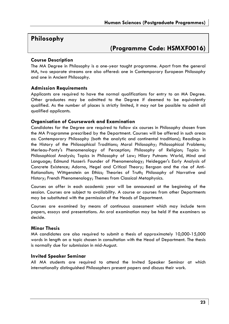### **Philosophy**

### **(Programme Code: HSMXF0016)**

### **Course Description**

The MA Degree in Philosophy is a one-year taught programme. Apart from the general MA, two separate streams are also offered: one in Contemporary European Philosophy and one in Ancient Philosophy.

### **Admission Requirements**

Applicants are required to have the normal qualifications for entry to an MA Degree. Other graduates may be admitted to the Degree if deemed to be equivalently qualified. As the number of places is strictly limited, it may not be possible to admit all qualified applicants.

### **Organisation of Coursework and Examination**

Candidates for the Degree are required to follow six courses in Philosophy chosen from the MA Programme prescribed by the Department. Courses will be offered in such areas as: Contemporary Philosophy (both the analytic and continental traditions); Readings in the History of the Philosophical Traditions; Moral Philosophy; Philosophical Problems; Merleau-Ponty's Phenomenology of Perception; Philosophy of Religion; Topics in Philosophical Analysis; Topics in Philosophy of Law; Hilary Putnam: World, Mind and Language; Edmund Husserl: Founder of Phenomenology; Heidegger's Early Analysis of Concrete Existence; Adorno, Hegel and Critical Theory; Bergson and the rise of Anti-Rationalism; Wittgenstein on Ethics; Theories of Truth; Philosophy of Narrative and History; French Phenomenology; Themes from Classical Metaphysics.

Courses on offer in each academic year will be announced at the beginning of the session. Courses are subject to availability. A course or courses from other Departments may be substituted with the permission of the Heads of Department.

Courses are examined by means of continuous assessment which may include term papers, essays and presentations. An oral examination may be held if the examiners so decide.

### **Minor Thesis**

MA candidates are also required to submit a thesis of approximately 10,000-15,000 words in length on a topic chosen in consultation with the Head of Department. The thesis is normally due for submission in mid-August.

### **Invited Speaker Seminar**

All MA students are required to attend the Invited Speaker Seminar at which internationally distinguished Philosophers present papers and discuss their work.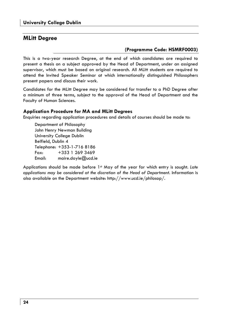### **MLitt Degree**

### **(Programme Code: HSMRF0003)**

This is a two-year research Degree, at the end of which candidates are required to present a thesis on a subject approved by the Head of Department, under an assigned supervisor, which must be based on original research. All MLitt students are required to attend the Invited Speaker Seminar at which internationally distinguished Philosophers present papers and discuss their work.

Candidates for the MLitt Degree may be considered for transfer to a PhD Degree after a minimum of three terms, subject to the approval of the Head of Department and the Faculty of Human Sciences.

#### **Application Procedure for MA and MLitt Degrees**

Enquiries regarding application procedures and details of courses should be made to:

Department of Philosophy John Henry Newman Building University College Dublin Belfield, Dublin 4 Telephone: +353-1-716 8186 Fax: +353 1 269 3469 Email: maire.doyle@ucd.ie

Applications should be made before 1st May of the year for which entry is sought. *Late applications may be considered at the discretion of the Head of Department.* Information is also available on the Department website: http://www.ucd.ie/philosop/.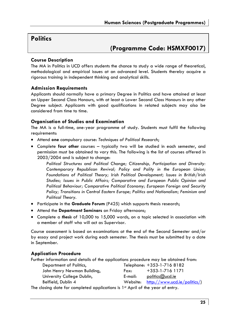### **Politics**

### **(Programme Code: HSMXF0017)**

### **Course Description**

The MA in Politics in UCD offers students the chance to study a wide range of theoretical, methodological and empirical issues at an advanced level. Students thereby acquire a rigorous training in independent thinking and analytical skills.

#### **Admission Requirements**

Applicants should normally have a primary Degree in Politics and have attained at least an Upper Second Class Honours, with at least a Lower Second Class Honours in any other Degree subject. Applicants with good qualifications in related subjects may also be considered from time to time.

#### **Organisation of Studies and Examination**

The MA is a full-time, one-year programme of study. Students must fulfil the following requirements:

- Attend **one** compulsory course: *Techniques of Political Research*;
- Complete **four other** courses typically two will be studied in each semester, and permission must be obtained to vary this. The following is the list of courses offered in 2003/2004 and is subject to change:

*Political Structures and Political Change; Citizenship, Participation and Diversity: Contemporary Republican Revival; Policy and Polity in the European Union; Foundations of Political Theory; Irish Political Development; Issues in British/Irish Studies; Issues in Public Affairs; Comparative and European Public Opinion and Political Behaviour; Comparative Political Economy; European Foreign and Security Policy; Transitions in Central Eastern Europe; Politics and Nationalism; Feminism and Political Theory.* 

- Participate in the **Graduate Forum** (P425) which supports thesis research;
- Attend the **Department Seminars** on Friday afternoons;
- Complete a *thesis* of 10,000 to 15,000 words, on a topic selected in association with a member of staff who will act as Supervisor.

Course assessment is based on examinations at the end of the Second Semester and/or by essay and project work during each semester. The thesis must be submitted by a date in September.

### **Application Procedure**

| Further information and details of the applications procedure may be obtained from: |          |                              |  |  |  |
|-------------------------------------------------------------------------------------|----------|------------------------------|--|--|--|
| Department of Politics,                                                             |          | Telephone: +353-1-716 8182   |  |  |  |
| John Henry Newman Building,                                                         | Fax:     | $+353 - 1 - 716$ 1171        |  |  |  |
| University College Dublin,                                                          | E-mail:  | politics@ucd.ie              |  |  |  |
| Belfield, Dublin 4                                                                  | Website: | http://www.ucd.ie/politics/) |  |  |  |
| The closing date for completed applications is 1st April of the year of entry.      |          |                              |  |  |  |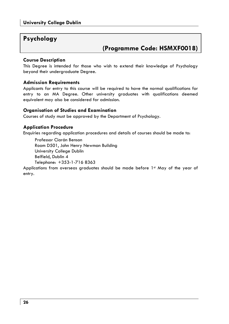### **Psychology**

### **(Programme Code: HSMXF0018)**

### **Course Description**

This Degree is intended for those who wish to extend their knowledge of Psychology beyond their undergraduate Degree.

### **Admission Requirements**

Applicants for entry to this course will be required to have the normal qualifications for entry to an MA Degree. Other university graduates with qualifications deemed equivalent may also be considered for admission.

### **Organisation of Studies and Examination**

Courses of study must be approved by the Department of Psychology.

### **Application Procedure**

Enquiries regarding application procedures and details of courses should be made to:

Professor Ciarán Benson Room D501, John Henry Newman Building University College Dublin Belfield, Dublin 4 Telephone: +353-1-716 8363

Applications from overseas graduates should be made before 1st May of the year of entry.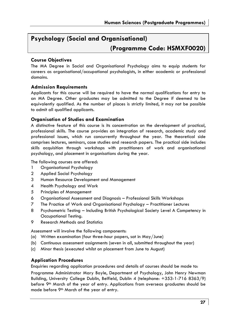### **Psychology (Social and Organisational)**

### **(Programme Code: HSMXF0020)**

### **Course Objectives**

The MA Degree in Social and Organisational Psychology aims to equip students for careers as organisational/occupational psychologists, in either academic or professional domains.

### **Admission Requirements**

Applicants for this course will be required to have the normal qualifications for entry to an MA Degree. Other graduates may be admitted to the Degree if deemed to be equivalently qualified. As the number of places is strictly limited, it may not be possible to admit all qualified applicants.

### **Organisation of Studies and Examination**

A distinctive feature of this course is its concentration on the development of practical, professional skills. The course provides an integration of research, academic study and professional issues, which run concurrently throughout the year. The theoretical side comprises lectures, seminars, case studies and research papers. The practical side includes skills acquisition through workshops with practitioners of work and organisational psychology, and placement in organisations during the year.

The following courses are offered:

- 1 Organisational Psychology
- 2 Applied Social Psychology
- 3 Human Resource Development and Management
- 4 Health Psychology and Work
- 5 Principles of Management
- 6 Organisational Assessment and Diagnosis Professional Skills Workshops
- 7 The Practice of Work and Organisational Psychology Practitioner Lectures
- 8 Psychometric Testing Including British Psychological Society Level A Competency in Occupational Testing.
- 9 Research Methods and Statistics

Assessment will involve the following components:

- (a) Written examination (four three-hour papers, sat in May/June)
- (b) Continuous assessment assignments (seven in all, submitted throughout the year)
- (c) Minor thesis (executed whilst on placement from June to August)

### **Application Procedures**

Enquiries regarding application procedures and details of courses should be made to:

Programme Administrator Mary Boyle, Department of Psychology, John Henry Newman Building, University College Dublin, Belfield, Dublin 4 (telephone: +353-1-716 8363/9) before 9<sup>th</sup> March of the year of entry. Applications from overseas graduates should be made before 9th March of the year of entry.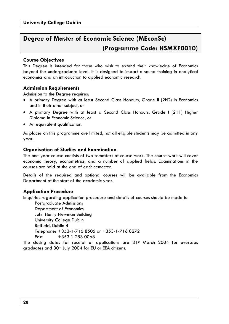### **Degree of Master of Economic Science (MEconSc) (Programme Code: HSMXF0010)**

### **Course Objectives**

This Degree is intended for those who wish to extend their knowledge of Economics beyond the undergraduate level. It is designed to impart a sound training in analytical economics and an introduction to applied economic research.

### **Admission Requirements**

Admission to the Degree requires:

- A primary Degree with at least Second Class Honours, Grade II (2H2) in Economics and in their other subject, or
- A primary Degree with at least a Second Class Honours, Grade I (2H1) Higher Diploma in Economic Science, or
- An equivalent qualification.

As places on this programme are limited, not all eligible students may be admitted in any year.

### **Organisation of Studies and Examination**

The one-year course consists of two semesters of course work. The course work will cover economic theory, econometrics, and a number of applied fields. Examinations in the courses are held at the end of each semester.

Details of the required and optional courses will be available from the Economics Department at the start of the academic year.

### **Application Procedure**

Enquiries regarding application procedure and details of courses should be made to

Postgraduate Admissions Department of Economics John Henry Newman Building University College Dublin Belfield, Dublin 4 Telephone: +353-1-716 8505 or +353-1-716 8272 Fax: +353 1 283 0068

The closing dates for receipt of applications are  $31<sup>st</sup>$  March 2004 for overseas graduates and 30<sup>th</sup> July 2004 for EU or EEA citizens.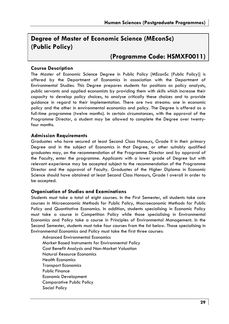### **Degree of Master of Economic Science (MEconSc) (Public Policy)**

### **(Programme Code: HSMXF0011)**

#### **Course Description**

The Master of Economic Science Degree in Public Policy [MEconSc (Public Policy)] is offered by the Department of Economics in association with the Department of Environmental Studies. This Degree prepares students for positions as policy analysts, public servants and applied economists by providing them with skills which increase their capacity to develop policy choices, to analyse critically these choices and to provide guidance in regard to their implementation. There are two streams: one in economic policy and the other in environmental economics and policy. The Degree is offered as a full-time programme (twelve months). In certain circumstances, with the approval of the Programme Director, a student may be allowed to complete the Degree over twentyfour months.

#### **Admission Requirements**

Graduates who have secured at least Second Class Honours, Grade II in their primary Degree and in the subject of Economics in that Degree, or other suitably qualified graduates may, on the recommendation of the Programme Director and by approval of the Faculty, enter the programme. Applicants with a lower grade of Degree but with relevant experience may be accepted subject to the recommendation of the Programme Director and the approval of Faculty. Graduates of the Higher Diploma in Economic Science should have obtained at least Second Class Honours, Grade I overall in order to be accepted.

### **Organisation of Studies and Examinations**

Students must take a total of eight courses. In the First Semester, all students take core courses in Microeconomic Methods for Public Policy, Macroeconomic Methods for Public Policy and Quantitative Economics. In addition, students specialising in Economic Policy must take a course in Competition Policy while those specialising in Environmental Economics and Policy take a course in Principles of Environmental Management. In the Second Semester, students must take four courses from the list below. Those specialising in Environmental Economics and Policy must take the first three courses:

 Advanced Environmental Economics Market Based Instruments for Environmental Policy Cost Benefit Analysis and Non-Market Valuation Natural Resource Economics Health Economics Transport Economics Public Finance Economic Development Comparative Public Policy Social Policy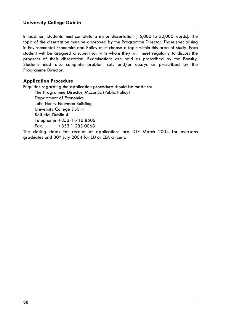In addition, students must complete a minor dissertation (15,000 to 30,000 words). The topic of the dissertation must be approved by the Programme Director. Those specialising in Environmental Economics and Policy must choose a topic within this area of study. Each student will be assigned a supervisor with whom they will meet regularly to discuss the progress of their dissertation. Examinations are held as prescribed by the Faculty. Students must also complete problem sets and/or essays as prescribed by the Programme Director.

### **Application Procedure**

Enquiries regarding the application procedure should be made to:

The Programme Director, MEconSc (Public Policy) Department of Economics John Henry Newman Building University College Dublin Belfield, Dublin 4 Telephone: +353-1-716 8505 Fax: +353 1 283 0068 The closing dates for receipt of applications are 31<sup>st</sup> March 2004 for overseas graduates and 30<sup>th</sup> July 2004 for EU or EEA citizens.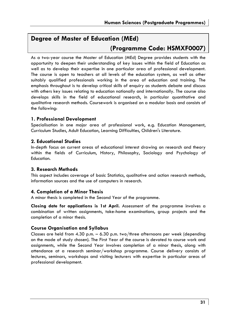### **Degree of Master of Education (MEd)**

### **(Programme Code: HSMXF0007)**

As a two-year course the Master of Education (MEd) Degree provides students with the opportunity to deepen their understanding of key issues within the field of Education as well as to develop their expertise in one particular area of professional development. The course is open to teachers at all levels of the education system, as well as other suitably qualified professionals working in the area of education and training. The emphasis throughout is to develop critical skills of enquiry as students debate and discuss with others key issues relating to education nationally and internationally. The course also develops skills in the field of educational research, in particular quantitative and qualitative research methods. Coursework is organised on a modular basis and consists of the following:

### **1. Professional Development**

Specialisation in one major area of professional work, e.g. Education Management, Curriculum Studies, Adult Education, Learning Difficulties, Children's Literature.

### **2. Educational Studies**

In-depth focus on current areas of educational interest drawing on research and theory within the fields of Curriculum, History, Philosophy, Sociology and Psychology of Education.

### **3. Research Methods**

This aspect includes coverage of basic Statistics, qualitative and action research methods, information sources and the use of computers in research.

### **4. Completion of a Minor Thesis**

A minor thesis is completed in the Second Year of the programme.

**Closing date for applications is 1st April.** Assessment of the programme involves a combination of written assignments, take-home examinations, group projects and the completion of a minor thesis.

### **Course Organisation and Syllabus**

Classes are held from 4.30 p.m. – 6.30 p.m. two/three afternoons per week (depending on the mode of study chosen). The First Year of the course is devoted to course work and assignments, while the Second Year involves completion of a minor thesis, along with attendance at a research seminar/workshop programme. Course delivery consists of lectures, seminars, workshops and visiting lecturers with expertise in particular areas of professional development.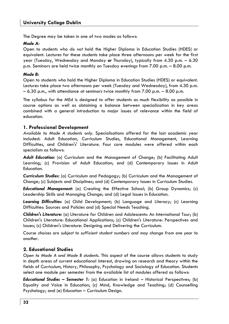The Degree may be taken in one of two modes as follows:

### *Mode A:*

Open to students who *do not* hold the Higher Diploma in Education Studies (HDES) or equivalent. Lectures for these students take place three afternoons per week for the first year (Tuesday, Wednesday and Monday *or* Thursday), typically from 4.30 p.m. – 6.30 p.m. Seminars are held twice monthly on Tuesday evenings from 7.00 p.m. – 8.00 p.m.

#### *Mode B:*

Open to students who hold the Higher Diploma in Education Studies (HDES) or equivalent. Lectures take place two afternoons per week (Tuesday and Wednesday), from 4.30 p.m. – 6.30 p.m., with attendance at seminars twice monthly from 7.00 p.m. – 8.00 p.m.

The syllabus for the MEd is designed to offer students as much flexibility as possible in course options as well as obtaining a balance between specialization in key areas combined with a general introduction to major issues of relevance within the field of education.

### **1. Professional Development**

*Available to Mode A students only.* Specialisations offered for the last academic year included: Adult Education, Curriculum Studies, Educational Management, Learning Difficulties, and Children's' Literature. Four core modules were offered within each specialism as follows:

*Adult Education:* (a) Curriculum and the Management of Change; (b) Facilitating Adult Learning; (c) Provision of Adult Education; and (d) Contemporary Issues in Adult Education.

*Curriculum Studies:* (a) Curriculum and Pedagogy; (b) Curriculum and the Management of Change; (c) Subjects and Disciplines; and (d) Contemporary Issues in Curriculum Studies.

*Educational Management:* (a) Creating the Effective School; (b) Group Dynamics; (c) Leadership Skills and Managing Change; and (d) Legal Issues in Education.

*Learning Difficulties:* (a) Child Development; (b) Language and Literacy; (c) Learning Difficulties: Sources and Policies and (d) Special Needs Teaching.

*Children's Literature:* (a) Literature for Children and Adolescents: An International Tour; (b) Children's Literature: Educational Applications; (c) Children's Literature: Perspectives and Issues; (c) Children's Literature: Designing and Delivering the Curriculum.

*Course choices are subject to sufficient student numbers and may change from one year to another.* 

### **2. Educational Studies**

*Open to Mode A and Mode B students.* This aspect of the course allows students to study in depth areas of current educational interest, drawing on research and theory within the fields of Curriculum, History, Philosophy, Psychology and Sociology of Education. Students select one module per semester from the available list of modules offered as follows:

*Educational Studies – Semester 1:* (a) Education in Ireland – Historical Perspectives; (b) Equality and Voice in Education; (c) Mind, Knowledge and Teaching; (d) Counselling Psychology; and (e) Education – Curriculum Design.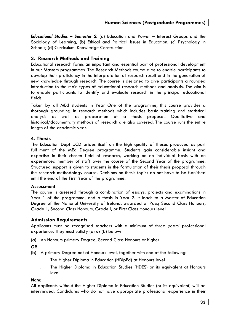*Educational Studies – Semester 2:* (a) Education and Power – Interest Groups and the Socioloay of Learning; (b) Ethical and Political Issues in Education; (c) Psychology in Schools; (d) Curriculum: Knowledge Construction.

### **3. Research Methods and Training**

Educational research forms an important and essential part of professional development in our Masters programmes. The Research Methods course aims to enable participants to develop their proficiency in the interpretation of research result and in the generation of new knowledge through research. The course is designed to give participants a rounded introduction to the main types of educational research methods and analysis. The aim is to enable participants to identify and evaluate research in the principal educational fields.

Taken by all MEd students in Year One of the programme, this course provides a thorough grounding in research methods which includes basic training and statistical analysis as well as preparation of a thesis proposal. Qualitative and historical/documentary methods of research are also covered. The course runs the entire length of the academic year.

### **4. Thesis**

The Education Dept UCD prides itself on the high quality of theses produced as part fulfilment of the MEd Degree programme. Students gain considerable insight and expertise in their chosen field of research, working on an individual basis with an experienced member of staff over the course of the Second Year of the programme. Structured support is given to students in the formulation of their thesis proposal through the research methodology course. Decisions on thesis topics do not have to be furnished until the end of the First Year of the programme.

### **Assessment**

The course is assessed through a combination of essays, projects and examinations in Year 1 of the programme, and a thesis in Year 2. It leads to a Master of Education Degree of the National University of Ireland, awarded at Pass; Second Class Honours, Grade II; Second Class Honours, Grade I; or First Class Honours level.

### **Admission Requirements**

Applicants must be recognised teachers with a minimum of three years' professional experience. They must satisfy (a) **or** (b) below:

(a) An Honours primary Degree, Second Class Honours or higher

*OR* 

(b) A primary Degree not at Honours level, together with one of the following:

- i. The Higher Diploma in Education (HDipEd) at Honours level
- ii. The Higher Diploma in Education Studies (HDES) or its equivalent at Honours level.

#### *Note:*

All applicants without the Higher Diploma in Education Studies (or its equivalent) will be interviewed. Candidates who do not have appropriate professional experience in their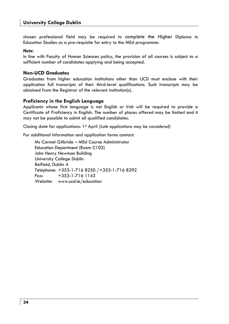chosen professional field may be required to complete the Higher Diploma in Education Studies as a pre-requisite for entry to the MEd programme.

#### *Note:*

In line with Faculty of Human Sciences policy, the provision of all courses is subject to a sufficient number of candidates applying and being accepted.

### **Non-UCD Graduates**

Graduates from higher education institutions other than UCD must enclose with their application full transcripts of their third-level qualifications. Such transcripts may be obtained from the Registrar of the relevant institution(s).

### **Proficiency in the English Language**

Applicants whose first language is not English or Irish will be required to provide a Certificate of Proficiency in English. The number of places offered may be limited and it may not be possible to admit all qualified candidates.

Closing date for applications: 1<sup>st</sup> April *(Late applications may be considered)* 

For additional information and application forms contact:

Ms Carmel Gilbride – MEd Course Administrator Education Department (Room C102) John Henry Newman Building University College Dublin Belfield, Dublin 4 Telephone: +353-1-716 8250 /+353-1-716 8292 Fax: +353-1-716 1143 Website: www.ucd.ie/education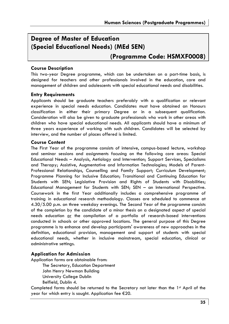### **Degree of Master of Education (Special Educational Needs) (MEd SEN)**

### **(Programme Code: HSMXF0008)**

### **Course Description**

This two-year Degree programme, which can be undertaken on a part-time basis, is designed for teachers and other professionals involved in the education, care and management of children and adolescents with special educational needs and disabilities.

### **Entry Requirements**

Applicants should be graduate teachers preferably with a qualification or relevant experience in special needs education. Candidates must have obtained an Honours classification in either their primary Degree or in a subsequent qualification. Consideration will also be given to graduate professionals who work in other areas with children who have special educational needs. All applicants should have a minimum of three years experience of working with such children. Candidates will be selected by interview, and the number of places offered is limited.

### **Course Content**

The First Year of the programme consists of intensive, campus-based lecture, workshop and seminar sessions and assignments focusing on the following core areas: Special Educational Needs – Analysis, Aetiology and Intervention; Support Services, Specialisms and Therapy; Assistive, Augmentative and Information Technologies; Models of Parent-Professional Relationships, Counselling and Family Support; Curriculum Development; Programme Planning for Inclusive Education; Transitional and Continuing Education for Students with SEN; Legislative Provision and Rights of Students with Disabilities; Educational Management for Students with SEN; SEN – an International Perspective. Coursework in the first Year additionally includes a comprehensive programme of training in educational research methodology. Classes are scheduled to commence at 4.30/5.00 p.m. on three weekday evenings. The Second Year of the programme consists of the completion by the candidate of a minor thesis on a designated aspect of special needs education or the compilation of a portfolio of research-based interventions conducted in schools or other approved locations. The general purpose of this Degree programme is to enhance and develop participants' awareness of new approaches in the definition, educational provision, management and support of students with special educational needs, whether in inclusive mainstream, special education, clinical or administrative settings.

### **Application for Admission**

Application forms are obtainable from:

The Secretary, Education Department John Henry Newman Building University College Dublin Belfield, Dublin 4.

Completed forms should be returned to the Secretary not later than the 1<sup>st</sup> April of the year for which entry is sought. Application fee €20.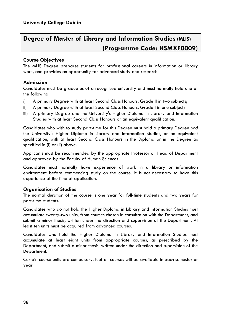### **Degree of Master of Library and Information Studies (MLIS) (Programme Code: HSMXF0009)**

### **Course Objectives**

The MLIS Degree prepares students for professional careers in information or library work, and provides an opportunity for advanced study and research.

### **Admission**

Candidates must be graduates of a recognised university and must normally hold one of the following:

- i) A primary Degree with at least Second Class Honours, Grade II in two subjects;
- ii) A primary Degree with at least Second Class Honours, Grade I in one subject;
- iii) A primary Degree and the University's Higher Diploma in Library and Information Studies with at least Second Class Honours or an equivalent qualification.

Candidates who wish to study part-time for this Degree must hold a primary Degree *and* the University's Higher Diploma in Library and Information Studies, or an equivalent qualification, with at least Second Class Honours in the Diploma or in the Degree as specified in (i) or (ii) above.

Applicants must be recommended by the appropriate Professor or Head of Department and approved by the Faculty of Human Sciences.

Candidates must normally have experience of work in a library or information environment before commencing study on the course. It is not necessary to have this experience at the time of application.

### **Organisation of Studies**

The normal duration of the course is one year for full-time students and two years for part-time students.

Candidates who do not hold the Higher Diploma in Library and Information Studies must accumulate twenty-two units, from courses chosen in consultation with the Department, and submit a minor thesis, written under the direction and supervision of the Department. At least ten units must be acquired from advanced courses.

Candidates who hold the Higher Diploma in Library and Information Studies must accumulate at least eight units from appropriate courses, as prescribed by the Department, and submit a minor thesis, written under the direction and supervision of the Department.

Certain course units are compulsory. Not all courses will be available in each semester or year.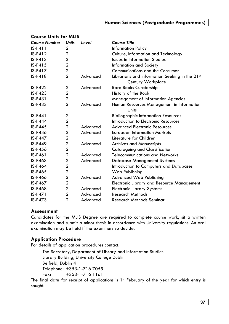| <b>Course Number</b> | <b>Units</b>   | Level    | <b>Course Title</b>                                                 |
|----------------------|----------------|----------|---------------------------------------------------------------------|
| $IS-P411$            | 2              |          | <b>Information Policy</b>                                           |
| $IS-P412$            | $\overline{2}$ |          | Culture, Information and Technology                                 |
| $IS-P413$            | $\overline{2}$ |          | <b>Issues in Information Studies</b>                                |
| $IS-P415$            | $\overline{a}$ |          | Information and Society                                             |
| $IS-P417$            | $\overline{2}$ |          | <b>Communications and the Consumer</b>                              |
| $IS-P418$            | $\overline{2}$ | Advanced | Librarians and Information Seeking in the 21st<br>Century Workplace |
| $IS-P422$            | $\overline{2}$ | Advanced | Rare Books Curatorship                                              |
| $IS-P423$            | $\overline{2}$ |          | History of the Book                                                 |
| $IS-P431$            | $\overline{2}$ |          | <b>Management of Information Agencies</b>                           |
| $IS-P433$            | $\overline{2}$ | Advanced | Human Resources Management in Information<br>Units                  |
| $IS-P441$            | 2              |          | <b>Bibliographic Information Resources</b>                          |
| <b>IS-P444</b>       | $\overline{c}$ |          | Introduction to Electronic Resources                                |
| $IS-P445$            | $\overline{a}$ | Advanced | <b>Advanced Electronic Resources</b>                                |
| <b>IS-P446</b>       | $\overline{a}$ | Advanced | <b>European Information Markets</b>                                 |
| IS-P447              | $\overline{a}$ |          | Literature for Children                                             |
| $IS-P449$            | $\overline{2}$ | Advanced | <b>Archives and Manuscripts</b>                                     |
| IS-P456              | $\overline{2}$ |          | Cataloguing and Classification                                      |
| IS-P461              | $\overline{2}$ | Advanced | Telecommunications and Networks                                     |
| $IS-P463$            | $\overline{2}$ | Advanced | Database Management Systems                                         |
| IS-P464              | $\overline{a}$ |          | Introduction to Computers and Databases                             |
| $IS-P465$            | $\overline{2}$ |          | Web Publishing                                                      |
| <b>IS-P466</b>       | $\overline{2}$ | Advanced | Advanced Web Publishing                                             |
| IS-P467              | $\overline{2}$ |          | Electronic Library and Resource Management                          |
| IS-P468              | $\overline{2}$ | Advanced | <b>Electronic Library Systems</b>                                   |
| <b>IS-P471</b>       | $\overline{a}$ | Advanced | <b>Research Methods</b>                                             |
| $IS-P473$            | $\overline{2}$ | Advanced | Research Methods Seminar                                            |

### **Course Units for MLIS**

### **Assessment**

Candidates for the MLIS Degree are required to complete course work, sit a written examination and submit a minor thesis in accordance with University regulations. An oral examination may be held if the examiners so decide.

### **Application Procedure**

For details of application procedures contact:

The Secretary, Department of Library and Information Studies Library Building, University College Dublin Belfield, Dublin 4 Telephone: +353-1-716 7055 Fax: +353-1-716 1161

The final date for receipt of applications is  $1<sup>st</sup>$  February of the year for which entry is sought.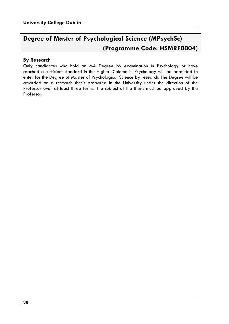# **Degree of Master of Psychological Science (MPsychSc) (Programme Code: HSMRF0004)**

### **By Research**

Only candidates who hold an MA Degree by examination in Psychology or have reached a sufficient standard in the Higher Diploma in Psychology will be permitted to enter for the Degree of Master of Psychological Science by research. The Degree will be awarded on a research thesis prepared in the University under the direction of the Professor over at least three terms. The subject of the thesis must be approved by the Professor.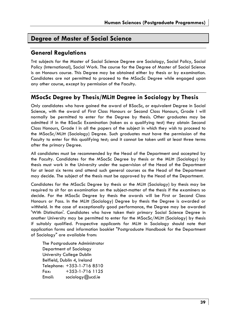## **Degree of Master of Social Science**

### **General Regulations**

THE subjects for the Master of Social Science Degree are Sociology, Social Policy, Social Policy (International), Social Work. The course for the Degree of Master of Social Science is an Honours course. This Degree may be obtained either by thesis or by examination. Candidates are not permitted to proceed to the MSocSc Degree while engaged upon any other course, except by permission of the Faculty.

### **MSocSc Degree by Thesis/MLitt Degree in Sociology by Thesis**

Only candidates who have gained the award of BSocSc, or equivalent Degree in Social Science, with the award of First Class Honours or Second Class Honours, Grade I will normally be permitted to enter for the Degree by thesis. Other graduates may be admitted if in the BSocSc Examination (taken as a qualifying test) they obtain Second Class Honours, Grade I in all the papers of the subject in which they wish to proceed to the MSocSc/MLitt (Sociology) Degree. Such graduates must have the permission of the Faculty to enter for this qualifying test; and it cannot be taken until at least three terms after the primary Degree.

All candidates must be recommended by the Head of the Department and accepted by the Faculty. Candidates for the MSocSc Degree by thesis or the MLitt (Sociology) by thesis must work in the University under the supervision of the Head of the Department for at least six terms and attend such general courses as the Head of the Department may decide. The subject of the thesis must be approved by the Head of the Department.

Candidates for the MSocSc Degree by thesis or the MLitt (Sociology) by thesis may be required to sit for an examination on the subject-matter of the thesis if the examiners so decide. For the MSocSc Degree by thesis the awards will be First or Second Class Honours or Pass. In the MLitt (Sociology) Degree by thesis the Degree is awarded or withheld. In the case of exceptionally good performance, the Degree may be awarded 'With Distinction'. Candidates who have taken their primary Social Science Degree in another University may be permitted to enter for the MSocSc/MLitt (Sociology) by thesis if suitably qualified. Prospective applicants for MLitt in Sociology should note that application forms and information booklet "Postgraduate Handbook for the Department of Sociology" are available from:

The Postgraduate Administrator Department of Sociology University College Dublin Belfield, Dublin 4, Ireland Telephone: +353-1-716 8510 Fax: +353-1-716 1125 Email: sociology@ucd.ie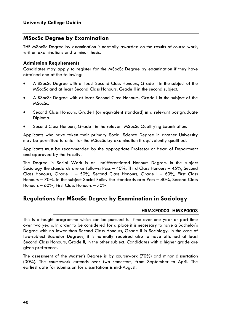### **MSocSc Degree by Examination**

THE MSocSc Degree by examination is normally awarded on the results of course work, written examinations and a minor thesis.

### **Admission Requirements**

Candidates may apply to register for the MSocSc Degree by examination if they have obtained one of the following:

- A BSocSc Degree with at least Second Class Honours, Grade II in the subject of the MSocSc and at least Second Class Honours, Grade II in the second subject.
- A BSocSc Degree with at least Second Class Honours, Grade I in the subject of the MSocSc.
- Second Class Honours, Grade I (or equivalent standard) in a relevant postgraduate Diploma.
- Second Class Honours, Grade I in the relevant MSocSc Qualifying Examination.

Applicants who have taken their primary Social Science Degree in another University may be permitted to enter for the MSocSc by examination if equivalently qualified.

Applicants must be recommended by the appropriate Professor or Head of Department and approved by the Faculty.

The Degree in Social Work is an undifferentiated Honours Degree. In the subject Sociology the standards are as follows: Pass  $-$  40%, Third Class Honours  $-$  45%, Second Class Honours, Grade II – 50%, Second Class Honours, Grade I – 60%, First Class Honours – 70%. In the subject Social Policy the standards are: Pass – 40%, Second Class Honours – 60%, First Class Honours – 70%.

### **Regulations for MSocSc Degree by Examination in Sociology**

### **HSMXF0003 HMXP0003**

This is a taught programme which can be pursued full-time over one year or part-time over two years. In order to be considered for a place it is necessary to have a Bachelor's Degree with no lower than Second Class Honours, Grade II in Sociology. In the case of two-subject Bachelor Degrees, it is normally required also to have attained at least Second Class Honours, Grade II, in the other subject. Candidates with a higher grade are given preference.

The assessment of the Master's Degree is by coursework (70%) and minor dissertation (30%). The coursework extends over two semesters, from September to April. The earliest date for submission for dissertations is mid-August.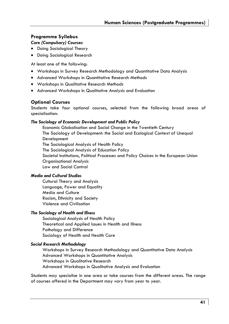### **Programme Syllabus**

### *Core (Compulsory) Courses:*

- Doing Sociological Theory
- Doing Sociological Research

At least one of the following:

- Workshops in Survey Research Methodology and Quantitative Data Analysis
- Advanced Workshops in Quantitative Research Methods
- Workshops in Qualitative Research Methods
- Advanced Workshops in Qualitative Analysis and Evaluation

### **Optional Courses**

Students take four optional courses, selected from the following broad areas of specialisation:

### *The Sociology of Economic Development and Public Policy*

 Economic Globalisation and Social Change in the Twentieth Century The Sociology of Development: the Social and Ecological Context of Unequal Development The Sociological Analysis of Health Policy The Sociological Analysis of Education Policy Societal Institutions, Political Processes and Policy Choices in the European Union Organisational Analysis Law and Social Control

### *Media and Cultural Studies*

 Cultural Theory and Analysis Language, Power and Equality Media and Culture Racism, Ethnicity and Society Violence and Civilisation

### *The Sociology of Health and Illness*

 Sociological Analysis of Health Policy Theoretical and Applied Issues in Health and Illness Pathology and Difference Sociology of Health and Health Care

### *Social Research Methodology*

 Workshops in Survey Research Methodology and Quantitative Data Analysis Advanced Workshops in Quantitative Analysis Workshops in Qualitative Research Advanced Workshops in Qualitative Analysis and Evaluation

Students may specialise in one area or take courses from the different areas. The range of courses offered in the Department may vary from year to year.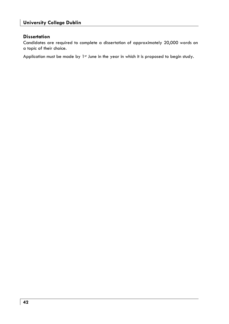### **Dissertation**

Candidates are required to complete a dissertation of approximately 20,000 words on a topic of their choice.

Application must be made by 1<sup>st</sup> June in the year in which it is proposed to begin study.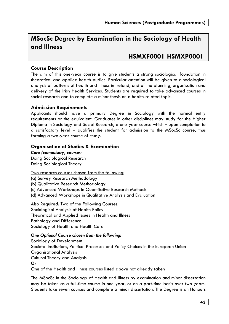## **MSocSc Degree by Examination in the Sociology of Health and Illness**

## **HSMXF0001 HSMXP0001**

### **Course Description**

The aim of this one-year course is to give students a strong sociological foundation in theoretical and applied health studies. Particular attention will be given to a sociological analysis of patterns of health and illness in Ireland, and of the planning, organisation and delivery of the Irish Health Services. Students are required to take advanced courses in social research and to complete a minor thesis on a health-related topic.

### **Admission Requirements**

Applicants should have a primary Degree in Sociology with the normal entry requirements or the equivalent. Graduates in other disciplines may study for the Higher Diploma in Sociology and Social Research, a one-year course which – upon completion to a satisfactory level – qualifies the student for admission to the MSocSc course, thus forming a two-year course of study.

### **Organisation of Studies & Examination**

*Core (compulsory) courses:*  Doing Sociological Research Doing Sociological Theory

Two research courses chosen from the following:

(a) Survey Research Methodology

(b) Qualitative Research Methodology

(c) Advanced Workshops in Quantitative Research Methods

(d) Advanced Workshops in Qualitative Analysis and Evaluation

### Also Required: Two of the Following Courses:

Sociological Analysis of Health Policy Theoretical and Applied Issues in Health and Illness Pathology and Difference Sociology of Health and Health Care

### *One Optional Course chosen from the following:*

Sociology of Development Societal Institutions, Political Processes and Policy Choices in the European Union Organisational Analysis Cultural Theory and Analysis *Or*  One of the Health and Illness courses listed above not already taken

The MSocSc in the Sociology of Health and Illness by examination and minor dissertation may be taken as a full-time course in one year, or on a part-time basis over two years. Students take seven courses and complete a minor dissertation. The Degree is an Honours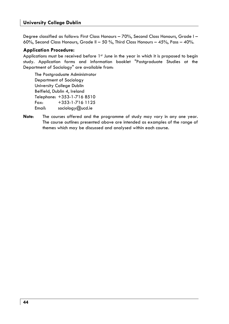Degree classified as follows: First Class Honours - 70%, Second Class Honours, Grade I -60%, Second Class Honours, Grade II – 50 %, Third Class Honours – 45%, Pass – 40%.

### **Application Procedure:**

Applications must be received before 1st June in the year in which it is proposed to begin study. Application forms and information booklet "Postgraduate Studies at the Department of Sociology" are available from:

The Postgraduate Administrator Department of Sociology University College Dublin Belfield, Dublin 4, Ireland Telephone: +353-1-716 8510 Fax: +353-1-716 1125 Email: sociology@ucd.ie

**Note**: The courses offered and the programme of study may vary in any one year. The course outlines presented above are intended as examples of the range of themes which may be discussed and analysed within each course.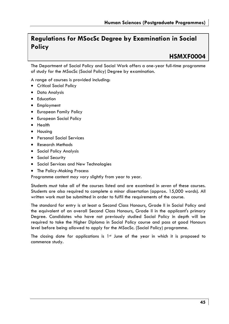# **Regulations for MSocSc Degree by Examination in Social Policy**

# **HSMXF0004**

The Department of Social Policy and Social Work offers a one-year full-time programme of study for the MSocSc (Social Policy) Degree by examination.

A range of courses is provided including:

- Critical Social Policy
- Data Analysis
- Education
- Employment
- European Family Policy
- European Social Policy
- Health
- Housing
- Personal Social Services
- Research Methods
- Social Policy Analysis
- Social Security
- Social Services and New Technologies
- The Policy-Making Process

Programme content may vary slightly from year to year.

Students must take all of the courses listed and are examined in *seven* of these courses. Students are also required to complete a minor dissertation (approx. 15,000 words). All written work must be submitted in order to fulfil the requirements of the course.

The standard for entry is at least a Second Class Honours, Grade II in Social Policy and the equivalent of an overall Second Class Honours, Grade II in the applicant's primary Degree. Candidates who have not previously studied Social Policy in depth will be required to take the Higher Diploma in Social Policy course and pass at good Honours level before being allowed to apply for the MSocSc. (Social Policy) programme.

The closing date for applications is  $1st$  June of the year in which it is proposed to commence study.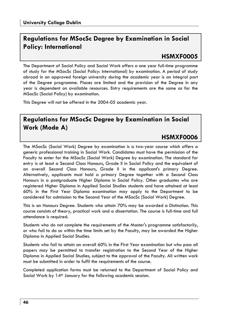# **Regulations for MSocSc Degree by Examination in Social Policy: International**

# **HSMXF0005**

The Department of Social Policy and Social Work offers a one year full-time programme of study for the MSocSc (Social Policy: International) by examination. A period of study abroad in an approved foreign university during the academic year is an integral part of the Degree programme. Places are limited and the provision of the Degree in any year is dependent on available resources. Entry requirements are the same as for the MSocSc (Social Policy) by examination.

This Degree will not be offered in the 2004-05 academic year.

# **Regulations for MSocSc Degree by Examination in Social Work (Mode A)**

## **HSMXF0006**

The MSocSc (Social Work) Degree by examination is a two-year course which offers a generic professional training in Social Work. Candidates must have the permission of the Faculty to enter for the MSocSc (Social Work) Degree by examination. The standard for entry is at least a Second Class Honours, Grade II in Social Policy and the equivalent of an overall Second Class Honours, Grade II in the applicant's primary Degree. Alternatively, applicants must hold a primary Degree together with a Second Class Honours in a postgraduate Higher Diploma in Social Policy. Other graduates who are registered Higher Diploma in Applied Social Studies students and have attained at least 60% in the First Year Diploma examination may apply to the Department to be considered for admission to the Second Year of the MSocSc (Social Work) Degree.

This is an Honours Degree. Students who attain 70% may be awarded a Distinction. This course consists of theory, practical work and a dissertation. The course is full-time and full attendance is required.

Students who do not complete the requirements of the Master's programme satisfactorily, or who fail to do so within the time limits set by the Faculty, may be awarded the Higher Diploma in Applied Social Studies.

Students who fail to attain an overall 60% in the First Year examination but who pass all papers may be permitted to transfer registration to the Second Year of the Higher Diploma in Applied Social Studies, subject to the approval of the Faculty. All written work must be submitted in order to fulfil the requirements of the course.

Completed application forms must be returned to the Department of Social Policy and Social Work by 14<sup>th</sup> January for the following academic session.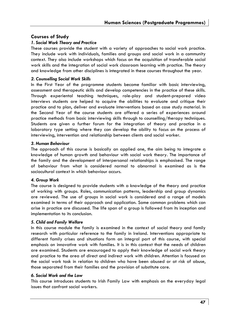### **Courses of Study**

### *1. Social Work Theory and Practice*

These courses provide the student with a variety of approaches to social work practice. They include work with individuals, families and groups and social work in a community context. They also include workshops which focus on the acquisition of transferable social work skills and the integration of social work classroom learning with practice. The theory and knowledge from other disciplines is integrated in these courses throughout the year.

### *2. Counselling Social Work Skills*

In the First Year of the programme students become familiar with basic interviewing, assessment and therapeutic skills and develop competencies in the practice of these skills. Through experiental teaching techniques, role-play and student-prepared video interviews students are helped to acquire the abilities to evaluate and critique their practice and to plan, deliver and evaluate interventions based on case study material. In the Second Year of the course students are offered a series of experiences around practice methods from basic interviewing skills through to counselling/therapy techniques. Students are given a further forum for the integration of theory and practice in a laboratory type setting where they can develop the ability to focus on the process of interviewing, intervention and relationship between clients and social worker.

### *3. Human Behaviour*

The approach of this course is basically an applied one, the aim being to integrate a knowledge of human growth and behaviour with social work theory. The importance of the family and the development of interpersonal relationships is emphasised. The range of behaviour from what is considered normal to abnormal is examined as is the sociocultural context in which behaviour occurs.

### *4. Group Work*

The course is designed to provide students with a knowledge of the theory and practice of working with groups. Roles, communication patterns, leadership and group dynamics are reviewed. The use of groups in social work is considered and a range of models examined in terms of their approach and application. Some common problems which can arise in practice are discussed. The life span of a group is followed from its inception and implementation to its conclusion.

### *5. Child and Family Welfare*

In this course module the family is examined in the context of social theory and family research with particular reference to the family in Ireland. Interventions appropriate to different family crises and situations form an integral part of this course, with special emphasis on innovative work with families. It is in this context that the needs of children are examined. Students are encouraged to apply their knowledge of social work theory and practice to the area of direct and indirect work with children. Attention is focused on the social work task in relation to children who have been abused or at risk of abuse, those separated from their families and the provision of substitute care.

### *6. Social Work and the Law*

This course introduces students to Irish Family Law with emphasis on the everyday legal issues that confront social workers.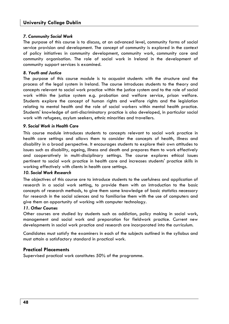### **University College Dublin**

#### *7. Community Social Work*

The purpose of this course is to discuss, at an advanced level, community forms of social service provision and development. The concept of community is explored in the context of policy initiatives in community development, community work, community care and community organisation. The role of social work in Ireland in the development of community support services is examined.

#### *8. Youth and Justice*

The purpose of this course module is to acquaint students with the structure and the process of the legal system in Ireland. The course introduces students to the theory and concepts relevant to social work practice within the justice system and to the role of social work within the justice system e.g. probation and welfare service, prison welfare. Students explore the concept of human rights and welfare rights and the legislation relating to mental health and the role of social workers within mental health practice. Students' knowledge of anti-discriminatory practice is also developed, in particular social work with refugees, asylum seekers, ethnic minorities and travellers.

#### *9. Social Work in Health Care*

This course module introduces students to concepts relevant to social work practice in health care settings and allows them to consider the concepts of health, illness and disability in a broad perspective. It encourages students to explore their own attitudes to issues such as disability, ageing, illness and death and prepares them to work effectively and cooperatively in multi-disciplinary settings. The course explores ethical issues pertinent to social work practice in health care and increases students' practice skills in working effectively with clients in health care settings.

#### *10. Social Work Research*

The objectives of this course are to introduce students to the usefulness and application of research in a social work setting, to provide them with an introduction to the basic concepts of research methods, to give them some knowledge of basic statistics necessary for research in the social sciences and to familiarise them with the use of computers and give them an opportunity of working with computer technology.

#### *11. Other Courses*

Other courses are studied by students such as addiction, policy making in social work, management and social work and preparation for fieldwork practice. Current new developments in social work practice and research are incorporated into the curriculum.

Candidates must satisfy the examiners in each of the subjects outlined in the syllabus and must attain a satisfactory standard in practical work.

### **Practical Placements**

Supervised practical work constitutes 50% of the programme.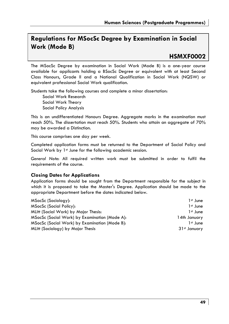# **Regulations for MSocSc Degree by Examination in Social Work (Mode B)**

## **HSMXF0002**

The MSocSc Degree by examination in Social Work (Mode B) is a one-year course available for applicants holding a BSocSc Degree or equivalent with at least Second Class Honours, Grade II and a National Qualification in Social Work (NQSW) or equivalent professional Social Work qualification.

Students take the following courses and complete a minor dissertation: Social Work Research Social Work Theory Social Policy Analysis

This is an undifferentiated Honours Degree. Aggregate marks in the examination must reach 50%. The dissertation must reach 50%. Students who attain an aggregate of 70% may be awarded a Distinction.

This course comprises one day per week.

Completed application forms must be returned to the Department of Social Policy and Social Work by 1<sup>st</sup> June for the following academic session.

*General Note*: All required written work must be submitted in order to fulfil the requirements of the course.

### **Closing Dates for Applications**

Application forms should be sought from the Department responsible for the subject in which it is proposed to take the Master's Degree. Application should be made to the appropriate Department before the dates indicated below.

| MSocSc (Sociology):                           | 1 <sup>st</sup> June |
|-----------------------------------------------|----------------------|
| MSocSc (Social Policy):                       | 1 <sup>st</sup> June |
| MLitt (Social Work) by Major Thesis:          | 1 <sup>st</sup> June |
| MSocSc (Social Work) by Examination (Mode A): | 14th January         |
| MSocSc (Social Work) by Examination (Mode B): | 1 <sup>st</sup> June |
| MLitt (Sociology) by Major Thesis             | 31st January         |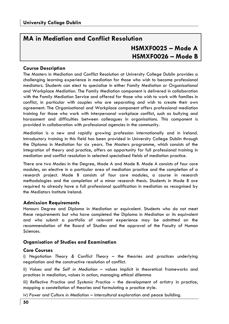# **MA in Mediation and Conflict Resolution HSMXF0025 – Mode A HSMXF0026 – Mode B**

### **Course Description**

The Masters in Mediation and Conflict Resolution at University College Dublin provides a challenging learning experience in mediation for those who wish to become professional mediators. Students can elect to specialise in either Family Mediation or Organisational and Workplace Mediation. The Family Mediation component is delivered in collaboration with the Family Mediation Service and offered for those who wish to work with families in conflict, in particular with couples who are separating and wish to create their own agreement. The Organisational and Workplace component offers professional mediation training for those who work with interpersonal workplace conflict, such as bullying and harassment and difficulties between colleagues in organisations. This component is provided in collaboration with professional agencies in the community.

Mediation is a new and rapidly growing profession internationally and in Ireland. Introductory training in this field has been provided in University College Dublin through the Diploma in Mediation for six years. The Masters programme, which consists of the integration of theory and practice, offers an opportunity for full professional training in mediation and conflict resolution in selected specialised fields of mediation practice.

There are two Modes in the Degree, Mode A and Mode B. Mode A consists of four core modules, an elective in a particular area of mediation practice and the completion of a research project. Mode B consists of four core modules, a course in research methodologies and the completion of a minor research thesis. Students in Mode B are required to already have a full professional qualification in mediation as recognised by the Mediators Institute Ireland.

### **Admission Requirements**

Honours Degree and Diploma in Mediation or equivalent. Students who do not meet these requirements but who have completed the Diploma in Mediation or its equivalent and who submit a portfolio of relevant experience may be admitted on the recommendation of the Board of Studies and the approval of the Faculty of Human Sciences.

### **Organisation of Studies and Examination**

#### **Core Courses**

i) *Negotiation Theory & Conflict Theory –* the theories and practices underlying negotiation and the constructive resolution of conflict.

ii) *Values and the Self in Mediation* – values implicit in theoretical frameworks and practices in mediation, values in action, managing ethical dilemma

iii) *Reflective Practice and Systemic Practice –* the development of artistry in practice, mapping a constellation of theories and formulating a practice style.

iv) *Power and Culture in Mediation* – intercultural exploration and peace building.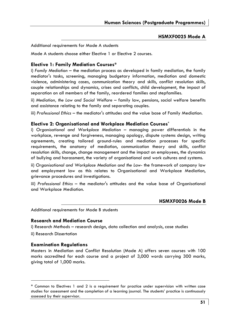### **HSMXF0025 Mode A**

Additional requirements for Mode A students

Mode A students choose either Flective 1 or Flective 2 courses

### **Elective 1: Family Mediation Courses\***

i) *Family Mediation –* the mediation process as developed in family mediation, the family mediator's tasks, screening, managing budgetary information, mediation and domestic violence, administering cases, communication theory and skills, conflict resolution skills, couple relationships and dynamics, crises and conflicts, child development, the impact of separation on all members of the family, reordered families and stepfamilies.

ii) *Mediation, the Law and Social Welfare* – family law, pensions, social welfare benefits and assistance relating to the family and separating couples.

iii) *Professional Ethics* – the mediator's attitudes and the value base of Family Mediation.

### **Elective 2: Organisational and Workplace Mediation Courses\***

i) *Organisational and Workplace Mediation* – managing power differentials in the workplace, revenge and forgiveness, managing apology, dispute systems design, writing agreements, creating tailored ground-rules and mediation processes for specific requirements, the anatomy of mediation, communication theory and skills, conflict resolution skills, change, change management and the impact on employees, the dynamics of bullying and harassment, the variety of organisational and work cultures and systems.

ii) *Organisational and Workplace Mediation and the Law*- the framework of company law and employment law as this relates to Organisational and Workplace Mediation, grievance procedures and investigations.

iii) *Professional Ethics* – the mediator's attitudes and the value base of Organisational and Workplace Mediation.

### **HSMXF0026 Mode B**

Additional requirements for Mode B students

### **Research and Mediation Course**

i) Research Methods – research design, data collection and analysis, case studies

ii) Research Dissertation

### **Examination Regulations**

Masters in Mediation and Conflict Resolution (Mode A) offers seven courses with 100 marks accredited for each course and a project of 3,000 words carrying 300 marks, giving total of 1,000 marks.

<sup>\*</sup> Common to Electives 1 and 2 is a requirement for practice under supervision with written case studies for assessment and the completion of a learning journal. The students' practice is continuously assessed by their supervisor.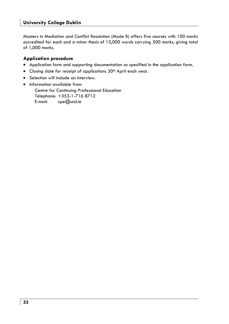Masters in Mediation and Conflict Resolution (Mode B) offers five courses with 100 marks accredited for each and a minor thesis of 15,000 words carrying 500 marks, giving total of 1,000 marks.

### **Application procedure**

- Application form and supporting documentation as specified in the application form.
- Closing date for receipt of applications 30<sup>th</sup> April each year.
- Selection will include an interview.
- Information available from Centre for Continuing Professional Education Telephone: +353-1-716 8712 E-mail: cpe@ucd.ie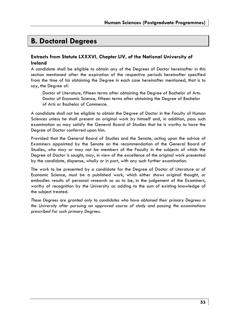# **B. Doctoral Degrees**

### **Extracts from Statute LXXXVI, Chapter LIV, of the National University of Ireland**

A candidate shall be eligible to obtain any of the Degrees of Doctor hereinafter in this section mentioned after the expiration of the respective periods hereinafter specified from the time of his obtaining the Degree in each case hereinafter mentioned, that is to say, the Degree of:

 Doctor of Literature, fifteen terms after obtaining the Degree of Bachelor of Arts. Doctor of Economic Science, fifteen terms after obtaining the Degree of Bachelor of Arts or Bachelor of Commerce.

A candidate shall not be eligible to obtain the Degree of Doctor in the Faculty of Human Sciences unless he shall present an original work by himself and, in addition, pass such examination as may satisfy the General Board of Studies that he is worthy to have the Degree of Doctor conferred upon him.

Provided that the General Board of Studies and the Senate, acting upon the advice of Examiners appointed by the Senate on the recommendation of the General Board of Studies, who may or may not be members of the Faculty in the subjects of which the Degree of Doctor is sought, may, in view of the excellence of the original work presented by the candidate, dispense, wholly or in part, with any such further examination.

The work to be presented by a candidate for the Degree of Doctor of Literature or of Economic Science, must be a published work, which either shows original thought, or embodies results of personal research so as to be, in the judgement of the Examiners, worthy of recognition by the University as adding to the sum of existing knowledge of the subject treated.

*These Degrees are granted only to candidates who have obtained their primary Degrees in the University after pursuing an approved course of study and passing the examinations prescribed for such primary Degrees.*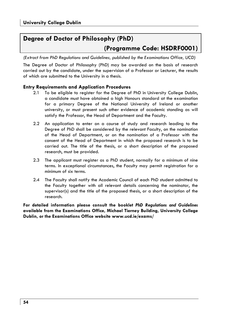# **Degree of Doctor of Philosophy (PhD) (Programme Code: HSDRF0001)**

*(Extract from PhD Regulations and Guidelines, published by the Examinations Office, UCD)* 

The Degree of Doctor of Philosophy (PhD) may be awarded on the basis of research carried out by the candidate, under the supervision of a Professor or Lecturer, the results of which are submitted to the University in a thesis.

### **Entry Requirements and Application Procedures**

- 2.1 To be eligible to register for the Degree of PhD in University College Dublin, a candidate must have obtained a high Honours standard at the examination for a primary Degree of the National University of Ireland or another university, or must present such other evidence of academic standing as will satisfy the Professor, the Head of Department and the Faculty.
- 2.2 An application to enter on a course of study and research leading to the Degree of PhD shall be considered by the relevant Faculty, on the nomination of the Head of Department, or on the nomination of a Professor with the consent of the Head of Department in which the proposed research is to be carried out. The title of the thesis, or a short description of the proposed research, must be provided.
- 2.3 The applicant must register as a PhD student, normally for a minimum of nine terms. In exceptional circumstances, the Faculty may permit registration for a minimum of six terms.
- 2.4 The Faculty shall notify the Academic Council of each PhD student admitted to the Faculty together with all relevant details concerning the nominator, the supervisor(s) and the title of the proposed thesis, or a short description of the research.

**For detailed information please consult the booklet** *PhD Regulations and Guidelines* **available from the Examinations Office, Michael Tierney Building, University College Dublin, or the Examinations Office website www.ucd.ie/exams/**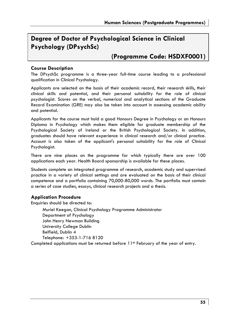# **Degree of Doctor of Psychological Science in Clinical Psychology (DPsychSc)**

## **(Programme Code: HSDXF0001)**

### **Course Description**

The DPsychSc programme is a three-year full-time course leading to a professional qualification in Clinical Psychology.

Applicants are selected on the basis of their academic record, their research skills, their clinical skills and potential, and their personal suitability for the role of clinical psychologist. Scores on the verbal, numerical and analytical sections of the Graduate Record Examination (GRE) may also be taken into account in assessing academic ability and potential.

Applicants for the course must hold a good Honours Degree in Psychology or an Honours Diploma in Psychology which makes them eligible for graduate membership of the Psychological Society of Ireland or the British Psychological Society. In addition, graduates should have relevant experience in clinical research and/or clinical practice. Account is also taken of the applicant's personal suitability for the role of Clinical Psychologist.

There are nine places on the programme for which typically there are over 100 applications each year. Health Board sponsorship is available for these places.

Students complete an integrated programme of research, academic study and supervised practice in a variety of clinical settings and are evaluated on the basis of their clinical competence and a portfolio containing 70,000-80,000 words. The portfolio must contain a series of case studies, essays, clinical research projects and a thesis.

### **Application Procedure**

Enquiries should be directed to:

Muriel Keegan, Clinical Psychology Programme Administrator Department of Psychology John Henry Newman Building University College Dublin Belfield, Dublin 4 Telephone: +353-1-716 8120

Completed applications must be returned before 11<sup>th</sup> February of the year of entry.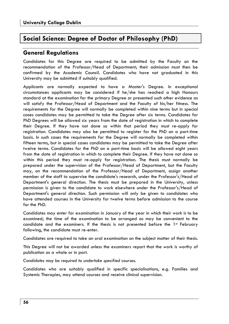## **Social Science: Degree of Doctor of Philosophy (PhD)**

### **General Regulations**

Candidates for this Degree are required to be admitted by the Faculty on the recommendation of the Professor/Head of Department; their admission must then be confirmed by the Academic Council. Candidates who have not graduated in this University may be admitted if suitably qualified.

Applicants are normally expected to have a Master's Degree. In exceptional circumstances applicants may be considered if he/she has reached a high Honours standard at the examination for the primary Degree or presented such other evidence as will satisfy the Professor/Head of Department and the Faculty of his/her fitness. The requirements for the Degree will normally be completed within nine terms but in special cases candidates may be permitted to take the Degree after six terms. Candidates for PhD Degrees will be allowed six years from the date of registration in which to complete their Degree. If they have not done so within that period they must re-apply for registration. Candidates may also be permitted to register for the PhD on a part-time basis. In such cases the requirements for the Degree will normally be completed within fifteen terms, but in special cases candidates may be permitted to take the Degree after twelve terms. Candidates for the PhD on a part-time basis will be allowed eight years from the date of registration in which to complete their Degree. If they have not done so within this period they must re-apply for registration. The thesis must normally be prepared under the supervision of the Professor/Head of Department, but the Faculty may, on the recommendation of the Professor/Head of Department, assign another member of the staff to supervise the candidate's research, under the Professor's/Head of Department's general direction. The thesis must be prepared in the University, unless permission is given to the candidate to work elsewhere under the Professor's/Head of Department's general direction. Such permission will only be given to candidates who have attended courses in the University for twelve terms before admission to the course for the PhD.

Candidates may enter for examination in January of the year in which their work is to be examined; the time of the examination to be arranged as may be convenient to the candidate and the examiners. If the thesis is not presented before the 1st February following, the candidate must re-enter.

Candidates are required to take an oral examination on the subject matter of their thesis.

This Degree will not be awarded unless the examiners report that the work is worthy of publication as a whole or in part.

*Candidates may be required to undertake specified courses.* 

Candidates who are suitably qualified in specific specialisations, e.g. Families and Systemic Therapies, may attend courses and receive clinical supervision.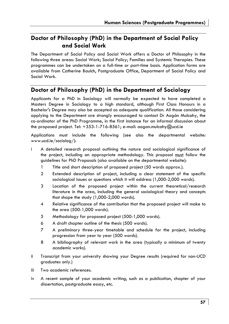### **Doctor of Philosophy (PhD) in the Department of Social Policy and Social Work**

The Department of Social Policy and Social Work offers a Doctor of Philosophy in the following three areas: Social Work; Social Policy; Families and Systemic Therapies. These programmes can be undertaken on a full-time or part-time basis. Application forms are available from Catherine Baulch, Postgraduate Office, Department of Social Policy and Social Work.

### **Doctor of Philosophy (PhD) in the Department of Sociology**

Applicants for a PhD in Sociology will normally be expected to have completed a Masters Degree in Sociology to a high standard, although First Class Honours in a Bachelor's Degree may also be accepted as adequate qualification. All those considering applying to the Department are strongly encouraged to contact Dr Aogán Mulcahy, the co-ordinator of the PhD Programme, in the first instance for an informal discussion about the proposed project. Tel: +353-1-716-8561; e-mail: aogan.mulcahy@ucd.ie

Applications must include the following (see also the departmental website: www.ucd.ie/sociolog/):

- i A detailed research proposal outlining the nature and sociological significance of the project, including an appropriate methodology. This proposal must follow the guidelines for PhD Proposals (also available on the departmental website):
	- 1 Title and short description of proposed project (50 words approx.).
	- 2 Extended description of project, including a clear statement of the specific sociological issues or questions which it will address (1,000-2,000 words).
	- 3 Location of the proposed project within the current theoretical/research literature in the area, including the general sociological theory and concepts that shape the study (1,000-2,000 words).
	- 4 Relative significance of the contribution that the proposed project will make to the area (500-1,000 words).
	- 5 Methodology for proposed project (500-1,000 words).
	- 6 A draft chapter outline of the thesis (500 words).
	- 7 A preliminary three-year timetable and schedule for the project, including progression from year to year (500 words).
	- 8 A bibliography of relevant work in the area (typically a minimum of twenty academic works).
- ii Transcript from your university showing your Degree results (required for non-UCD graduates only.)
- iii Two academic references.
- iv A recent sample of your academic writing, such as a publication, chapter of your dissertation, postgraduate essay, etc.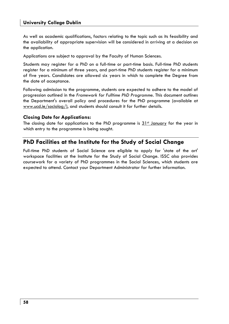As well as academic qualifications, factors relating to the topic such as its feasibility and the availability of appropriate supervision will be considered in arriving at a decision on the application.

Applications are subject to approval by the Faculty of Human Sciences.

Students may register for a PhD on a full-time or part-time basis. Full-time PhD students register for a minimum of three years, and part-time PhD students register for a minimum of five years. Candidates are allowed six years in which to complete the Degree from the date of acceptance.

Following admission to the programme, students are expected to adhere to the model of progression outlined in the *Framework for Fulltime PhD Programme*. This document outlines the Department's overall policy and procedures for the PhD programme (available at www.ucd.ie/sociolog/), and students should consult it for further details.

### **Closing Date for Applications:**

The closing date for applications to the PhD programme is  $31st$  January for the year in which entry to the programme is being sought.

### **PhD Facilities at the Institute for the Study of Social Change**

Full-time PhD students of Social Science are eligible to apply for 'state of the art' workspace facilities at the Institute for the Study of Social Change. ISSC also provides coursework for a variety of PhD programmes in the Social Sciences, which students are expected to attend. Contact your Department Administrator for further information.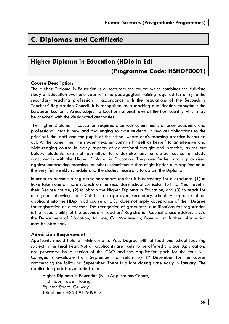# **C. Diplomas and Certificate**

# **Higher Diploma in Education (HDip in Ed) (Programme Code: HSHDF0001)**

### **Course Description**

The Higher Diploma in Education is a postgraduate course which combines the full-time study of Education over one year with the pedagogical training required for entry to the secondary teaching profession in accordance with the regulations of the Secondary Teachers' Registration Council. It is recognised as a teaching qualification throughout the European Economic Area, subject to local or national rules of the host country which may be checked with the designated authorities.

The Higher Diploma in Education requires a serious commitment, at once academic and professional, that is new and challenging to most students. It involves obligations to the principal, the staff and the pupils of the school where one's teaching practice is carried out. At the same time, the student-teacher commits himself or herself to an intensive and wide-ranging course in many aspects of educational thought and practice, as set out below. Students are not permitted to undertake any unrelated course of study concurrently with the Higher Diploma in Education. They are further strongly advised against undertaking teaching (or other) commitments that might hinder due application to the very full weekly schedule and the studies necessary to obtain the Diploma.

In order to become a registered secondary teacher it is necessary for a graduate: (1) to have taken one or more subjects on the secondary school curriculum to Final Year level in their Degree course, (2) to obtain the Higher Diploma in Education, and (3) to teach for one year following the HDipEd in an approved secondary school. Acceptance of an applicant into the HDip in Ed course at UCD does not imply acceptance of their Degree for registration as a teacher. The recognition of graduates' qualifications for registration is the responsibility of the Secondary Teachers' Registration Council whose address is c/o the Department of Education, Athlone, Co. Westmeath, from whom further information may be obtained.

### **Admission Requirement**

Applicants should hold at minimum of a Pass Degree with at least one school teaching subject in the Final Year. Not all applicants are likely to be offered a place. Applications are processed by a section of the CAO and the application pack for the four NUI Colleges is available from September for return by  $1<sup>st</sup>$  December for the course commencing the following September. There is a late closing date early in January. The application pack is available from:

Higher Diploma in Education (NUI) Applications Centre, First Floor, Tower House, Eglinton Street, Galway Telephone: +353-91-509817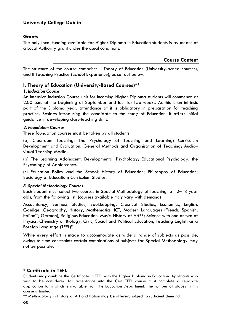### **Grants**

The only local funding available for Higher Diploma in Education students is by means of a Local Authority grant under the usual conditions.

**Course Content** 

The structure of the course comprises: I Theory of Education (University-based courses), and II Teaching Practice (School Experience), as set out below.

### **I. Theory of Education (University-Based Courses)\*\***

#### *1. Induction Course*

An intensive Induction Course unit for incoming Higher Diploma students will commence at 2.00 p.m. at the beginning of September and last for two weeks. As this is an intrinsic part of the Diploma year, attendance at it is obligatory in preparation for teaching practice. Besides introducing the candidate to the study of Education, it offers initial guidance in developing class-teaching skills.

### *2. Foundation Courses*

These foundation courses must be taken by all students:

(a) Classroom Teaching: The Psychology of Teaching and Learning; Curriculum Development and Evaluation; General Methods and Organisation of Teaching; Audio– visual Teaching Media.

(b) The Learning Adolescent: Developmental Psychology; Educational Psychology; the Psychology of Adolescence.

(c) Education Policy and the School: History of Education; Philosophy of Education; Sociology of Education; Curriculum Studies.

### *3. Special Methodology Courses*

Each student must select two courses in Special Methodology of teaching to 12–18 year olds, from the following list: (courses available may vary with demand)

Accountancy, Business Studies, Bookkeeping, Classical Studies, Economics, English, Gaeilge, Geography, History, Mathematics, ICT, Modern Languages (French; Spanish; Italian\*\*; German), Religious Education, Music, History of Art\*\*; Science with one or two of Physics, Chemistry or Biology, Civic, Social and Political Education, Teaching English as a Foreign Language (TEFL)\*.

While every effort is made to accommodate as wide a range of subjects as possible, owing to time constraints certain combinations of subjects for Special Methodology may not be possible.

### **\* Certificate in TEFL**

\*\* Methodology in History of Art and Italian may be offered, subject to sufficient demand.

Students may combine the Certificate in TEFL with the Higher Diploma in Education. Applicants who wish to be considered for acceptance into the Cert TEFL course must complete a separate application form which is available from the Education Department. The number of places in this course is limited.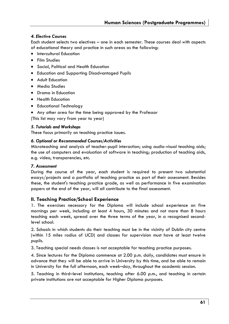### *4. Elective Courses*

Each student selects two electives – one in each semester. These courses deal with aspects of educational theory and practice in such areas as the following:

- Intercultural Education
- Film Studies
- Social, Political and Health Education
- Education and Supporting Disadvantaged Pupils
- Adult Education
- Media Studies
- Drama in Education
- Health Education
- Educational Technology
- Any other area for the time being approved by the Professor

(This list may vary from year to year)

### *5. Tutorials and Workshops*

These focus primarily on teaching practice issues.

### *6. Optional or Recommended Courses/Activities*

Microteaching and analysis of teacher-pupil interaction; using audio-visual teaching aids; the use of computers and evaluation of software in teaching; production of teaching aids, e.g. video, transparencies, etc.

### *7. Assessment*

During the course of the year, each student is required to present two substantial essays/projects and a portfolio of teaching practice as part of their assessment. Besides these, the student's teaching practice grade, as well as performance in five examination papers at the end of the year, will all contribute to the final assessment.

### **II. Teaching Practice/School Experience**

1. The exercises necessary for the Diploma will include school experience on five mornings per week, including at least 4 hours, 30 minutes and not more than 8 hours teaching each week, spread over the three terms of the year, in a recognised secondlevel school.

2. Schools in which students do their teaching must be in the vicinity of Dublin city centre (within 15 miles radius of UCD) and classes for supervision must have at least twelve pupils.

3. Teaching special needs classes is not acceptable for teaching practice purposes.

4. Since lectures for the Diploma commence at 2.00 p.m. daily, candidates must ensure in advance that they will be able to arrive in University by this time, and be able to remain in University for the full afternoon, each week–day, throughout the academic session.

5. Teaching in third–level institutions, teaching after 6.00 p.m., and teaching in certain private institutions are not acceptable for Higher Diploma purposes.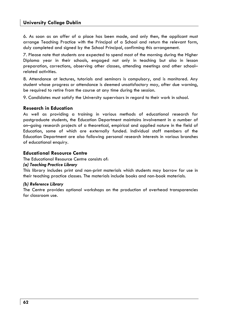6. As soon as an offer of a place has been made, and only then, the applicant must arrange Teaching Practice with the Principal of a School and return the relevant form, duly completed and signed by the School Principal, confirming this arrangement.

7. Please note that students are expected to spend most of the morning during the Higher Diploma year in their schools, engaged not only in teaching but also in lesson preparation, corrections, observing other classes, attending meetings and other school– related activities.

8. Attendance at lectures, tutorials and seminars is compulsory, and is monitored. Any student whose progress or attendance is deemed unsatisfactory may, after due warning, be required to retire from the course at any time during the session.

9. Candidates must satisfy the University supervisors in regard to their work in school.

#### **Research in Education**

As well as providing a training in various methods of educational research for postgraduate students, the Education Department maintains involvement in a number of on–going research projects of a theoretical, empirical and applied nature in the field of Education, some of which are externally funded. Individual staff members of the Education Department are also following personal research interests in various branches of educational enquiry.

#### **Educational Resource Centre**

The Educational Resource Centre consists of:

#### *(a) Teaching Practice Library*

This library includes print and non-print materials which students may borrow for use in their teaching practice classes. The materials include books and non-book materials.

#### *(b) Reference Library*

The Centre provides optional workshops on the production of overhead transparencies for classroom use.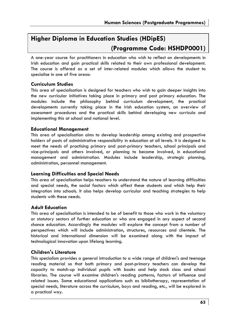# **Higher Diploma in Education Studies (HDipES) (Programme Code: HSHDP0001)**

A one-year course for practitioners in education who wish to reflect on developments in Irish education and gain practical skills related to their own professional development. The course is offered as a set of inter-related modules which allows the student to specialise in one of five areas:

### **Curriculum Studies**

This area of specialisation is designed for teachers who wish to gain deeper insights into the new curricular initiatives taking place in primary and post primary education. The modules include the philosophy behind curriculum development, the practical developments currently taking place in the Irish education system, an overview of assessment procedures and the practical skills behind developing new curricula and implementing this at school and national level.

### **Educational Management**

This area of specialisation aims to develop leadership among existing and prospective holders of posts of administrative responsibility in education at all levels. It is designed to meet the needs of practising primary and post-primary teachers, school principals and vice-principals and others involved, or planning to become involved, in educational management and administration. Modules include leadership, strategic planning, administration, personnel management.

### **Learning Difficulties and Special Needs**

This area of specialisation helps teachers to understand the nature of learning difficulties and special needs, the social factors which affect these students and which help their integration into schools. It also helps develop curricular and teaching strategies to help students with these needs.

### **Adult Education**

This area of specialisation is intended to be of benefit to those who work in the voluntary or statutory sectors of further education or who are engaged in any aspect of second chance education. Accordingly the modules will explore the concept from a number of perspectives which will include administration, structures, resources and clientele. The historical and international dimension will be examined along with the impact of technological innovation upon lifelong learning.

### **Children's Literature**

This specialism provides a general introduction to a wide range of children's and teenage reading material so that both primary and post-primary teachers can develop the capacity to match-up individual pupils with books and help stock class and school libraries. The course will examine children's reading patterns, factors of influence and related issues. Some educational applications such as bibliotherapy, representation of special needs, literature across the curriculum, boys and reading, etc., will be explored in a practical way.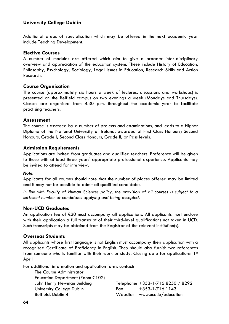Additional areas of specialisation which may be offered in the next academic year include Teaching Development.

#### **Elective Courses**

A number of modules are offered which aim to give a broader inter-disciplinary overview and appreciation of the education system. These include History of Education, Philosophy, Psychology, Sociology, Legal Issues in Education, Research Skills and Action Research.

#### **Course Organisation**

The course (approximately six hours a week of lectures, discussions and workshops) is presented on the Belfield campus on two evenings a week (Mondays and Thursdays). Classes are organised from 4.30 p.m. throughout the academic year to facilitate practising teachers.

#### **Assessment**

The course is assessed by a number of projects and examinations, and leads to a Higher Diploma of the National University of Ireland, awarded at First Class Honours; Second Honours, Grade I; Second Class Honours, Grade II; or Pass levels.

#### **Admission Requirements**

Applications are invited from graduates and qualified teachers. Preference will be given to those with at least three years' appropriate professional experience. Applicants may be invited to attend for interview.

#### *Note:*

Applicants for all courses should note that the number of places offered may be limited and it may not be possible to admit all qualified candidates.

In line with Faculty of Human Sciences policy, the provision of all courses is subject to a *sufficient number of candidates applying and being accepted.*

### **Non-UCD Graduates**

An application fee of €20 must accompany all applications. All applicants must enclose with their application a full transcript of their third-level qualifications not taken in UCD. Such transcripts may be obtained from the Registrar of the relevant institution(s).

#### **Overseas Students**

All applicants whose first language is not English must accompany their application with a recognised Certificate of Proficiency in English. They should also furnish two references from someone who is familiar with their work or study. Closing date for applications:  $1st$ April

For additional information and application forms contact:

| The Course Administrator                |      |                                   |
|-----------------------------------------|------|-----------------------------------|
| <b>Education Department (Room C102)</b> |      |                                   |
| John Henry Newman Building              |      | Telephone: +353-1-716 8250 / 8292 |
| University College Dublin               | Fax: | $+353 - 1 - 716$ 1143             |
| Belfield, Dublin 4                      |      | Website: www.ucd.ie/education     |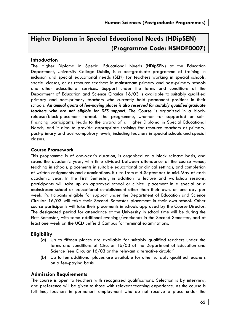# **Higher Diploma in Special Educational Needs (HDipSEN) (Programme Code: HSHDF0007)**

### **Introduction**

The Higher Diploma in Special Educational Needs (HDipSEN) at the Education Department, University College Dublin, is a postgraduate programme of training in inclusion and special educational needs (SEN) for teachers working in special schools, special classes, or as resource teachers in mainstream primary and post-primary schools and other educational services. Support under the terms and conditions of the Department of Education and Science Circular 16/03 is available to suitably qualified primary and post-primary teachers who currently hold permanent positions in their schools. *An annual quota of fee-paying places is also reserved for suitably qualified graduate teachers who are not eligible for DES support*. The Course is organized in a blockrelease/block-placement format. The programme, whether for supported or selffinancing participants, leads to the award of a Higher Diploma in Special Educational Needs, and it aims to provide appropriate training for resource teachers at primary, post-primary and post-compulsory levels, including teachers in special schools and special classes.

### **Course Framework**

This programme is of <u>one-year's duration</u>, is organised on a block release basis, and spans the academic year, with time divided between attendance at the course venue, teaching in schools, placements in suitable educational or clinical settings, and completion of written assignments and examinations. It runs from mid-September to mid-May of each academic year. In the First Semester, in addition to lecture and workshop sessions, participants will take up an approved school or clinical placement in a special or a mainstream school or educational establishment other than their own, on one day per week. Participants eligible for support under the Department of Education and Science Circular 16/03 will take their Second Semester placement in their own school. Other course participants will take their placements in schools approved by the Course Director. The designated period for attendance at the University in school time will be during the First Semester, with some additional evenings/weekends in the Second Semester, and at least one week on the UCD Belfield Campus for terminal examinations.

### **Eligibility**

- (a) Up to fifteen places are available for suitably qualified teachers under the terms and conditions of Circular 16/03 of the Department of Education and Science (see Circular 16/03 or the relevant alternative circular)
- (b) Up to ten additional places are available for other suitably qualified teachers on a fee-paying basis.

### **Admission Requirements**

The course is open to teachers with recognized qualifications. Selection is by interview, and preference will be given to those with relevant teaching experience. As the course is full-time, teachers in permanent employment who do not receive a place under the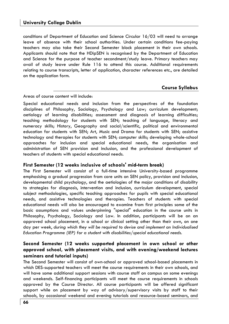conditions of Department of Education and Science Circular 16/03 will need to arrange leave of absence with their school authorities. Under certain conditions fee-paying teachers may also take their Second Semester block placement in their own schools. Applicants should note that the HDipSEN is recognised by the Department of Education and Science for the purpose of teacher secondment/study leave. Primary teachers may avail of study leave under Rule 116 to attend this course. Additional requirements relating to course transcripts, letter of application, character references etc., are detailed on the application form.

#### **Course Syllabus**

Areas of course content will include:

Special educational needs and inclusion from the perspectives of the foundation disciplines of Philosophy, Sociology, Psychology and Law; curriculum development; aetiology of learning disabilities; assessment and diagnosis of learning difficulties; teaching methodology for students with SEN; teaching of language, literacy and numeracy skills; History, Geography and social/scientific, political and environmental education for students with SEN; Art, Music and Drama for students with SEN; assistive technology and therapies for students with SEN; computer skills; developing whole-school approaches for inclusion and special educational needs, the organisation and administration of SEN provision and inclusion, and the professional development of teachers of students with special educational needs.

### **First Semester (12 weeks inclusive of schools' mid-term break)**

The First Semester will consist of a full-time intensive University-based programme emphasising a gradual progression from core units on SEN policy, provision and inclusion, developmental child psychology, and the aetiologies of the major conditions of disability to strategies for diagnosis, intervention and inclusion, curriculum development, special subject methodologies, specific teaching approaches for pupils with special educational needs, and assistive technologies and therapies. Teachers of students with special educational needs will also be encouraged to examine from first principles some of the basic assumptions and values underpinning "special" education in the course units in Philosophy, Psychology, Sociology and Law. In addition, participants will be on an approved school placement, in a school or clinical setting other than their own, on one day per week, *during which they will be required to devise and implement an Individualised Education Programme (IEP) for a student with disabilities/special educational needs.* 

### **Second Semester (12 weeks supported placement in own school or other approved school, with placement visits, and with evening/weekend lectures seminars and tutorial inputs)**

The Second Semester will consist of own-school or approved school-based placements in which DES-supported teachers will meet the course requirements in their own schools, and will have some additional support sessions with course staff on campus on some evenings and weekends. Self-financing participants will meet the course requirements in schools approved by the Course Director. All course participants will be offered significant support while on placement by way of advisory/supervisory visits by staff to their schools, by occasional weekend and evening tutorials and resource-based seminars, and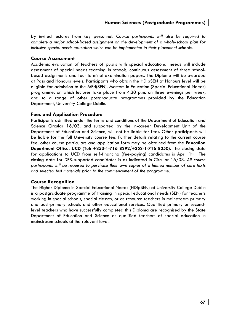by invited lectures from key personnel. C*ourse participants will also be required to complete a major school-based assignment on the development of a whole-school plan for inclusive special needs education which can be implemented in their placement schools.*

### **Course Assessment**

Academic evaluation of teachers of pupils with special educational needs will include assessment of special needs teaching in schools, continuous assessment of three schoolbased assignments and four terminal examination papers. The Diploma will be awarded at Pass and Honours levels. Participants who obtain the HDipSEN at Honours level will be eligible for admission to the MEd(SEN), Masters in Education (Special Educational Needs) programme, on which lectures take place from 4.30 p.m. on three evenings per week, and to a range of other postgraduate programmes provided by the Education Department, University College Dublin.

### **Fees and Application Procedure**

Participants admitted under the terms and conditions of the Department of Education and Science Circular 16/03, and supported by the In-career Development Unit of the Department of Education and Science, will not be liable for fees. Other participants will be liable for the full University course fee. Further details relating to the current course fee, other course particulars and application form may be obtained from the **Education Department Office, UCD (Tel: +353-1-716 8292/+353-1-716 8250).** The closing date for applications to UCD from self-financing (fee-paying) candidates is April 1st. The closing date for DES-supported candidates is as indicated in Circular 16/03. *All course participants will be required to purchase their own copies of a limited number of core texts and selected test materials prior to the commencement of the programme.* 

### **Course Recognition**

The Higher Diploma in Special Educational Needs (HDipSEN) at University College Dublin is a postgraduate programme of training in special educational needs (SEN) for teachers working in special schools, special classes, or as resource teachers in mainstream primary and post-primary schools and other educational services. Qualified primary or secondlevel teachers who have successfully completed this Diploma are recognised by the State Department of Education and Science as qualified teachers of special education in mainstream schools at the relevant level.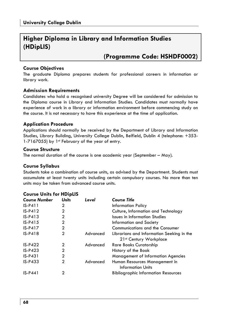## **Higher Diploma in Library and Information Studies (HDipLIS)**

## **(Programme Code: HSHDF0002)**

### **Course Objectives**

The graduate Diploma prepares students for professional careers in information or library work.

### **Admission Requirements**

Candidates who hold a recognised university Degree will be considered for admission to the Diploma course in Library and Information Studies. Candidates must normally have experience of work in a library or information environment before commencing study on the course. It is not necessary to have this experience at the time of application.

### **Application Procedure**

Applications should normally be received by the Department of Library and Information Studies, Library Building, University College Dublin, Belfield, Dublin 4 (telephone: +353- 1-7167055) by 1st February of the year of entry.

### **Course Structure**

The normal duration of the course is one academic year (September – May).

### **Course Syllabus**

Students take a combination of course units, as advised by the Department. Students must accumulate at least twenty units including certain compulsory courses. No more than ten units may be taken from advanced course units.

| <b>Course Number</b> | <b>Units</b> | Level    | <b>Course Title</b>                        |
|----------------------|--------------|----------|--------------------------------------------|
| $IS-P411$            | 2            |          | <b>Information Policy</b>                  |
| $IS-P412$            | 2            |          | Culture, Information and Technology        |
| $IS-P413$            | 2            |          | <b>Issues in Information Studies</b>       |
| $IS-P415$            | 2            |          | Information and Society                    |
| $IS-P417$            | 2            |          | Communications and the Consumer            |
| $IS-P418$            | 2            | Advanced | Librarians and Information Seeking in the  |
|                      |              |          | 21st Century Workplace                     |
| $IS-P422$            | 2            | Advanced | <b>Rare Books Curatorship</b>              |
| $IS-P423$            | $\mathbf{2}$ |          | History of the Book                        |
| $IS-P431$            | $\mathbf{2}$ |          | <b>Management of Information Agencies</b>  |
| $IS-P433$            | 2            | Advanced | Human Resources Management in              |
|                      |              |          | <b>Information Units</b>                   |
| $IS-P441$            | 2            |          | <b>Bibliographic Information Resources</b> |

### **Course Units for HDipLIS**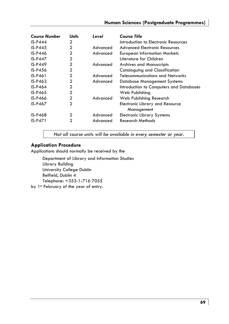### **Human Sciences (Postgraduate Programmes)**

| <b>Course Number</b> | <b>Units</b> | Level    | <b>Course Title</b>                     |
|----------------------|--------------|----------|-----------------------------------------|
| $IS-P444$            | 2            |          | Introduction to Electronic Resources    |
| $IS-P445$            | 2            | Advanced | <b>Advanced Electronic Resources</b>    |
| <b>IS-P446</b>       | 2            | Advanced | <b>European Information Markets</b>     |
| $IS-P447$            | 2            |          | Literature for Children                 |
| $IS-P449$            | 2            | Advanced | <b>Archives and Manuscripts</b>         |
| <b>IS-P456</b>       | 2            |          | Cataloguing and Classification          |
| IS-P461              | 2            | Advanced | Telecommunications and Networks         |
| $IS-P463$            | 2            | Advanced | Database Management Systems             |
| IS-P464              | 2            |          | Introduction to Computers and Databases |
| $IS-P465$            | 2            |          | Web Publishing                          |
| <b>IS-P466</b>       | 2            | Advanced | Web Publishing Research                 |
| IS-P467              | 2            |          | <b>Electronic Library and Resource</b>  |
|                      |              |          | Management                              |
| <b>IS-P468</b>       | 2            | Advanced | <b>Electronic Library Systems</b>       |
| $IS-P471$            | 2            | Advanced | <b>Research Methods</b>                 |

*Not all course units will be available in every semester or year.* 

### **Application Procedure**

Applications should normally be received by the

Department of Library and Information Studies Library Building University College Dublin Belfield, Dublin 4 Telephone: +353-1-716 7055 by 1st February of the year of entry.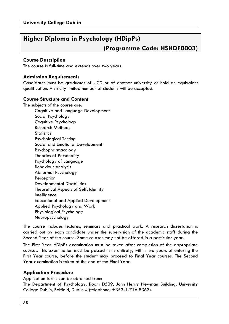# **Higher Diploma in Psychology (HDipPs) (Programme Code: HSHDF0003)**

### **Course Description**

The course is full-time and extends over two years.

### **Admission Requirements**

Candidates must be graduates of UCD or of another university or hold an equivalent qualification. A strictly limited number of students will be accepted.

### **Course Structure and Content**

The subjects of the course are: Cognitive and Language Development Social Psychology Cognitive Psychology Research Methods **Statistics**  Psychological Testing Social and Emotional Development Psychopharmacology Theories of Personality Psychology of Language Behaviour Analysis Abnormal Psychology Perception Developmental Disabilities Theoretical Aspects of Self, Identity **Intelligence**  Educational and Applied Development Applied Psychology and Work Physiological Psychology Neuropsychology

The course includes lectures, seminars and practical work. A research dissertation is carried out by each candidate under the supervision of the academic staff during the Second Year of the course. Some courses may not be offered in a particular year.

The First Year HDipPs examination must be taken after completion of the appropriate courses. This examination must be passed in its entirety, within two years of entering the First Year course, before the student may proceed to Final Year courses. The Second Year examination is taken at the end of the Final Year.

### **Application Procedure**

Application forms can be obtained from:

The Department of Psychology, Room D509, John Henry Newman Building, University College Dublin, Belfield, Dublin 4 (telephone: +353-1-716 8363).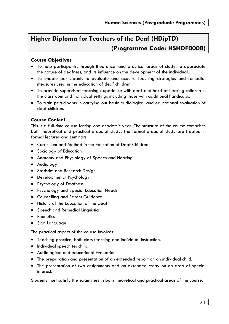# **Higher Diploma for Teachers of the Deaf (HDipTD) (Programme Code: HSHDF0008)**

### **Course Objectives**

- To help participants, through theoretical and practical areas of study, to appreciate the nature of deafness, and its influence on the development of the individual.
- To enable participants to evaluate and acquire teaching strategies and remedial measures used in the education of deaf children.
- To provide supervised teaching experience with deaf and hard-of-hearing children in the classroom and individual settings including those with additional handicaps.
- To train participants in carrying out basic audiological and educational evaluation of deaf children.

### **Course Content**

This is a full-time course lasting one academic year. The structure of the course comprises both theoretical and practical areas of study. The formal areas of study are treated in formal lectures and seminars:

- Curriculum and Method in the Education of Deaf Children
- Sociology of Education
- Anatomy and Physiology of Speech and Hearing
- Audiology
- Statistics and Research Design
- Developmental Psychology
- Psychology of Deafness
- Psychology and Special Education Needs
- Counselling and Parent Guidance
- History of the Education of the Deaf
- Speech and Remedial Linguistics
- Phonetics
- Sign Language

The practical aspect of the course involves:

- Teaching practice, both class teaching and individual instruction.
- Individual speech teaching.
- Audiological and educational Evaluation.
- The preparation and presentation of an extended report on an individual child.
- The presentation of two assignments and an extended essay on an area of special interest.

Students must satisfy the examiners in both theoretical and practical areas of the course.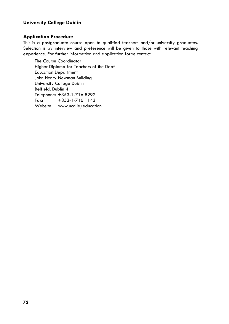### **Application Procedure**

This is a postgraduate course open to qualified teachers and/or university graduates. Selection is by interview and preference will be given to those with relevant teaching experience. For further information and application forms contact:

The Course Coordinator Higher Diploma for Teachers of the Deaf Education Department John Henry Newman Building University College Dublin Belfield, Dublin 4 Telephone: +353-1-716 8292 Fax: +353-1-716 1143 Website: www.ucd.ie/education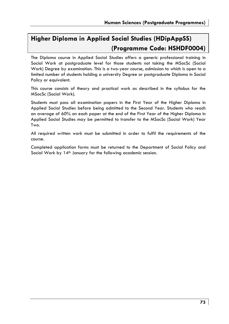# **Higher Diploma in Applied Social Studies (HDipAppSS) (Programme Code: HSHDF0004)**

The Diploma course in Applied Social Studies offers a generic professional training in Social Work at postgraduate level for those students not taking the MSocSc (Social Work) Degree by examination. This is a two-year course, admission to which is open to a limited number of students holding a university Degree or postgraduate Diploma in Social Policy or equivalent.

This course consists of theory and practical work as described in the syllabus for the MSocSc (Social Work).

Students must pass all examination papers in the First Year of the Higher Diploma in Applied Social Studies before being admitted to the Second Year. Students who reach an average of 60% on each paper at the end of the First Year of the Higher Diploma in Applied Social Studies may be permitted to transfer to the MSocSc (Social Work) Year Two.

All required written work must be submitted in order to fulfil the requirements of the course.

Completed application forms must be returned to the Department of Social Policy and Social Work by 14<sup>th</sup> January for the following academic session.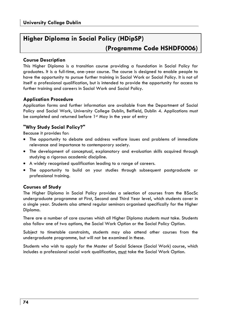# **Higher Diploma in Social Policy (HDipSP) (Programme Code HSHDF0006)**

## **Course Description**

This Higher Diploma is a transition course providing a foundation in Social Policy for graduates. It is a full-time, one-year course. The course is designed to enable people to have the opportunity to pursue further training in Social Work or Social Policy. It is not of itself a professional qualification, but is intended to provide the opportunity for access to further training and careers in Social Work and Social Policy.

# **Application Procedure**

Application forms and further information are available from the Department of Social Policy and Social Work, University College Dublin, Belfield, Dublin 4. Applications must be completed and returned before 1<sup>st</sup> May in the year of entry

## **"Why Study Social Policy?"**

Because it provides for:

- The opportunity to debate and address welfare issues and problems of immediate relevance and importance to contemporary society.
- The development of conceptual, explanatory and evaluation skills acquired through studying a rigorous academic discipline.
- A widely recognised qualification leading to a range of careers.
- The opportunity to build on your studies through subsequent postgraduate or professional training.

# **Courses of Study**

The Higher Diploma in Social Policy provides a selection of courses from the BSocSc undergraduate programme at First, Second and Third Year level, which students cover in a single year. Students also attend regular seminars organised specifically for the Higher Diploma.

There are a number of core courses which all Higher Diploma students must take. Students also follow one of two options, the Social Work Option or the Social Policy Option.

Subject to timetable constraints, students may also attend other courses from the undergraduate programme, but will not be examined in these.

Students who wish to apply for the Master of Social Science (Social Work) course, which includes a professional social work qualification, must take the Social Work Option.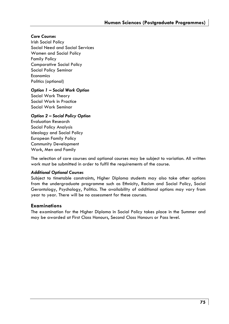#### *Core Courses*

Irish Social Policy Social Need and Social Services Women and Social Policy Family Policy Comparative Social Policy Social Policy Seminar Economics Politics (optional)

#### *Option 1 – Social Work Option*

Social Work Theory Social Work in Practice Social Work Seminar

#### *Option 2 – Social Policy Option*

Evaluation Research Social Policy Analysis Ideology and Social Policy European Family Policy Community Development Work, Men and Family

The selection of core courses and optional courses may be subject to variation. All written work must be submitted in order to fulfil the requirements of the course.

#### *Additional Optional Courses*

Subject to timetable constraints, Higher Diploma students may also take other options from the undergraduate programme such as Ethnicity, Racism and Social Policy, Social Gerontology, Psychology, Politics. The availability of additional options may vary from year to year. There will be no assessment for these courses.

#### **Examinations**

The examination for the Higher Diploma in Social Policy takes place in the Summer and may be awarded at First Class Honours, Second Class Honours or Pass level.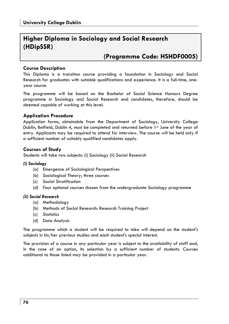# **Higher Diploma in Sociology and Social Research (HDipSSR)**

# **(Programme Code: HSHDF0005)**

### **Course Description**

This Diploma is a transition course providing a foundation in Sociology and Social Research for graduates with suitable qualifications and experience. It is a full-time, oneyear course.

The programme will be based on the Bachelor of Social Science Honours Degree programme in Sociology and Social Research and candidates, therefore, should be deemed capable of working at this level.

## **Application Procedure**

Application forms, obtainable from the Department of Sociology, University College Dublin, Belfield, Dublin 4, must be completed and returned before 1st June of the year of entry. Applicants may be required to attend for interview. The course will be held only if a sufficient number of suitably qualified candidates apply.

## **Courses of Study**

Students will take two subjects: (i) Sociology (ii) Social Research

#### *(i) Sociology*

- (a) Emergence of Sociological Perspectives
- (b) Sociological Theory; three courses
- (c) Social Stratification
- (d) Four optional courses chosen from the undergraduate Sociology programme

#### *(ii) Social Research*

- (a) Methodology
- (b) Methods of Social Research: Research Training Project
- (c) Statistics
- (d) Data Analysis

The programme which a student will be required to take will depend on the student's subjects in his/her previous studies and each student's special interest.

The provision of a course in any particular year is subject to the availability of staff and, in the case of an option, its selection by a sufficient number of students. Courses additional to those listed may be provided in a particular year.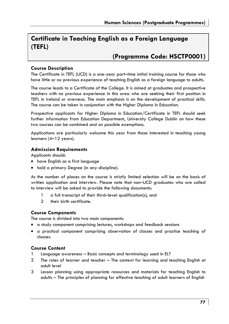# **Certificate in Teaching English as a Foreign Language (TEFL)**

# **(Programme Code: HSCTP0001)**

## **Course Description**

The Certificate in TEFL (UCD) is a one-year part–time initial training course for those who have little or no previous experience of teaching English as a foreign language to adults.

The course leads to a Certificate of the College. It is aimed at graduates and prospective teachers with no previous experience in this area who are seeking their first position in TEFL in Ireland or overseas. The main emphasis is on the development of practical skills. The course can be taken in conjunction with the Higher Diploma in Education.

Prospective applicants for Higher Diploma in Education/Certificate in TEFL should seek further information from Education Department, University College Dublin on how these two courses can be combined and on possible exemptions.

Applications are particularly welcome this year from those interested in teaching young learners (4–12 years).

#### **Admission Requirements**

Applicants should:

- have English as a first language
- hold a primary Degree (in any discipline).

As the number of places on the course is strictly limited selection will be on the basis of written application and interview. Please note that non–UCD graduates who are called to interview will be asked to provide the following documents:

- 1 a full transcript of their third–level qualification(s), and
- 2 their birth certificate.

# **Course Components**

The course is divided into two main components:

- a study component comprising lectures, workshops and feedback sessions
- a practical component comprising observation of classes and practice teaching of classes.

# **Course Content**

- 1 Language awareness Basic concepts and terminology used in ELT
- 2 The roles of learner and teacher The context for learning and teaching English at adult level
- 3 Lesson planning using appropriate resources and materials for teaching English to adults – The principles of planning for effective teaching of adult learners of English